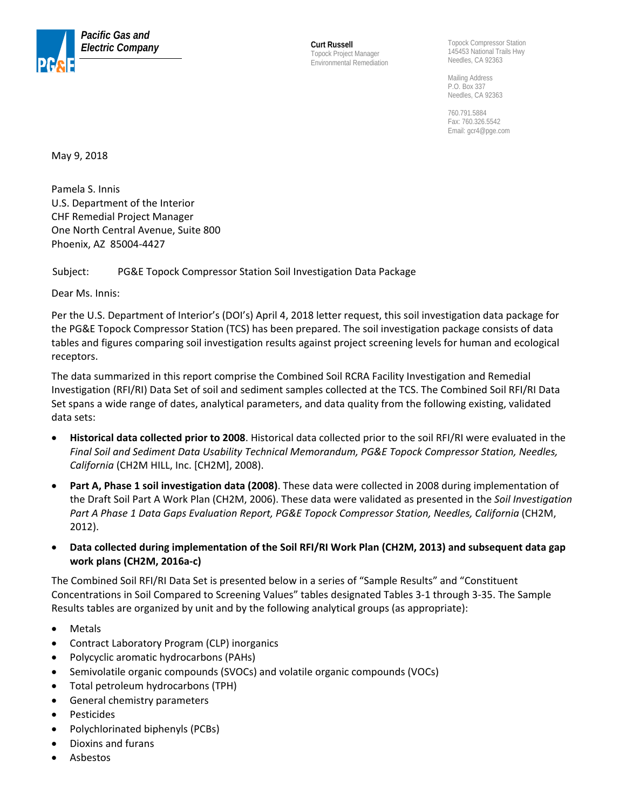

Topock Project Manager Environmental Remediation

Topock Compressor Station 145453 National Trails Hwy Needles, CA 92363

Mailing Address P.O. Box 337 Needles, CA 92363

760.791.5884 Fax: 760.326.5542 Email: gcr4@pge.com

May 9, 2018

Pamela S. Innis U.S. Department of the Interior CHF Remedial Project Manager One North Central Avenue, Suite 800 Phoenix, AZ 85004-4427

Subject: PG&E Topock Compressor Station Soil Investigation Data Package

Dear Ms. Innis:

Per the U.S. Department of Interior's (DOI's) April 4, 2018 letter request, this soil investigation data package for the PG&E Topock Compressor Station (TCS) has been prepared. The soil investigation package consists of data tables and figures comparing soil investigation results against project screening levels for human and ecological receptors.

The data summarized in this report comprise the Combined Soil RCRA Facility Investigation and Remedial Investigation (RFI/RI) Data Set of soil and sediment samples collected at the TCS. The Combined Soil RFI/RI Data Set spans a wide range of dates, analytical parameters, and data quality from the following existing, validated data sets:

- **Historical data collected prior to 2008**. Historical data collected prior to the soil RFI/RI were evaluated in the *Final Soil and Sediment Data Usability Technical Memorandum, PG&E Topock Compressor Station, Needles, California* (CH2M HILL, Inc. [CH2M], 2008).
- **Part A, Phase 1 soil investigation data (2008)**. These data were collected in 2008 during implementation of the Draft Soil Part A Work Plan (CH2M, 2006). These data were validated as presented in the *Soil Investigation Part A Phase 1 Data Gaps Evaluation Report, PG&E Topock Compressor Station, Needles, California* (CH2M, 2012).
- **Data collected during implementation of the Soil RFI/RI Work Plan (CH2M, 2013) and subsequent data gap work plans (CH2M, 2016a-c)**

The Combined Soil RFI/RI Data Set is presented below in a series of "Sample Results" and "Constituent Concentrations in Soil Compared to Screening Values" tables designated Tables 3-1 through 3-35. The Sample Results tables are organized by unit and by the following analytical groups (as appropriate):

- Metals
- Contract Laboratory Program (CLP) inorganics
- Polycyclic aromatic hydrocarbons (PAHs)
- Semivolatile organic compounds (SVOCs) and volatile organic compounds (VOCs)
- Total petroleum hydrocarbons (TPH)
- General chemistry parameters
- **Pesticides**
- Polychlorinated biphenyls (PCBs)
- Dioxins and furans
- Asbestos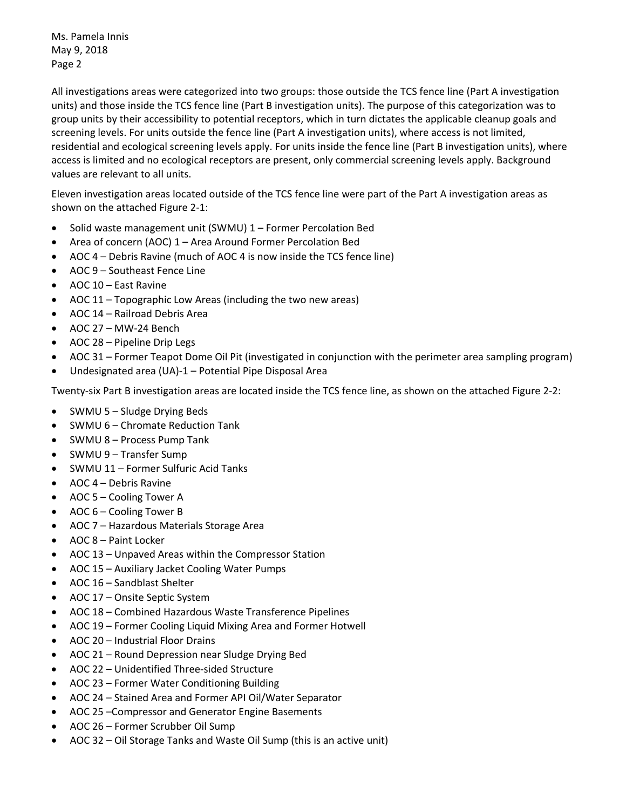Ms. Pamela Innis May 9, 2018 Page 2

All investigations areas were categorized into two groups: those outside the TCS fence line (Part A investigation units) and those inside the TCS fence line (Part B investigation units). The purpose of this categorization was to group units by their accessibility to potential receptors, which in turn dictates the applicable cleanup goals and screening levels. For units outside the fence line (Part A investigation units), where access is not limited, residential and ecological screening levels apply. For units inside the fence line (Part B investigation units), where access is limited and no ecological receptors are present, only commercial screening levels apply. Background values are relevant to all units.

Eleven investigation areas located outside of the TCS fence line were part of the Part A investigation areas as shown on the attached Figure 2-1:

- Solid waste management unit (SWMU) 1 Former Percolation Bed
- Area of concern (AOC) 1 Area Around Former Percolation Bed
- AOC 4 Debris Ravine (much of AOC 4 is now inside the TCS fence line)
- AOC 9 Southeast Fence Line
- AOC 10 East Ravine
- AOC 11 Topographic Low Areas (including the two new areas)
- AOC 14 Railroad Debris Area
- AOC 27 MW-24 Bench
- AOC 28 Pipeline Drip Legs
- AOC 31 Former Teapot Dome Oil Pit (investigated in conjunction with the perimeter area sampling program)
- Undesignated area (UA)-1 Potential Pipe Disposal Area

Twenty-six Part B investigation areas are located inside the TCS fence line, as shown on the attached Figure 2-2:

- SWMU 5 Sludge Drying Beds
- SWMU 6 Chromate Reduction Tank
- SWMU 8 Process Pump Tank
- SWMU 9 Transfer Sump
- SWMU 11 Former Sulfuric Acid Tanks
- AOC 4 Debris Ravine
- AOC 5 Cooling Tower A
- AOC 6 Cooling Tower B
- AOC 7 Hazardous Materials Storage Area
- AOC 8 Paint Locker
- AOC 13 Unpaved Areas within the Compressor Station
- AOC 15 Auxiliary Jacket Cooling Water Pumps
- AOC 16 Sandblast Shelter
- AOC 17 Onsite Septic System
- AOC 18 Combined Hazardous Waste Transference Pipelines
- AOC 19 Former Cooling Liquid Mixing Area and Former Hotwell
- AOC 20 Industrial Floor Drains
- AOC 21 Round Depression near Sludge Drying Bed
- AOC 22 Unidentified Three-sided Structure
- AOC 23 Former Water Conditioning Building
- AOC 24 Stained Area and Former API Oil/Water Separator
- AOC 25 –Compressor and Generator Engine Basements
- AOC 26 Former Scrubber Oil Sump
- AOC 32 Oil Storage Tanks and Waste Oil Sump (this is an active unit)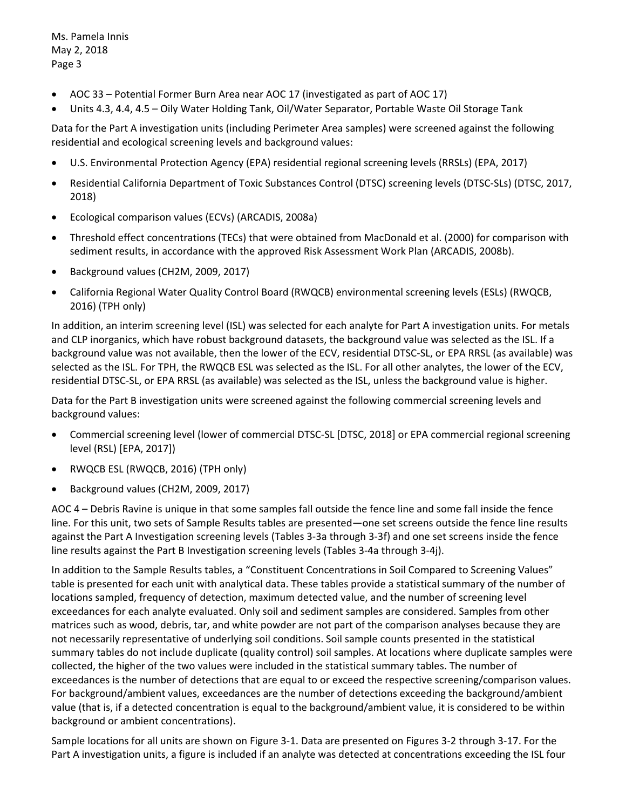Ms. Pamela Innis May 2, 2018 Page 3

- AOC 33 Potential Former Burn Area near AOC 17 (investigated as part of AOC 17)
- Units 4.3, 4.4, 4.5 Oily Water Holding Tank, Oil/Water Separator, Portable Waste Oil Storage Tank

Data for the Part A investigation units (including Perimeter Area samples) were screened against the following residential and ecological screening levels and background values:

- U.S. Environmental Protection Agency (EPA) residential regional screening levels (RRSLs) (EPA, 2017)
- Residential California Department of Toxic Substances Control (DTSC) screening levels (DTSC-SLs) (DTSC, 2017, 2018)
- Ecological comparison values (ECVs) (ARCADIS, 2008a)
- Threshold effect concentrations (TECs) that were obtained from MacDonald et al. (2000) for comparison with sediment results, in accordance with the approved Risk Assessment Work Plan (ARCADIS, 2008b).
- Background values (CH2M, 2009, 2017)
- California Regional Water Quality Control Board (RWQCB) environmental screening levels (ESLs) (RWQCB, 2016) (TPH only)

In addition, an interim screening level (ISL) was selected for each analyte for Part A investigation units. For metals and CLP inorganics, which have robust background datasets, the background value was selected as the ISL. If a background value was not available, then the lower of the ECV, residential DTSC-SL, or EPA RRSL (as available) was selected as the ISL. For TPH, the RWQCB ESL was selected as the ISL. For all other analytes, the lower of the ECV, residential DTSC-SL, or EPA RRSL (as available) was selected as the ISL, unless the background value is higher.

Data for the Part B investigation units were screened against the following commercial screening levels and background values:

- Commercial screening level (lower of commercial DTSC-SL [DTSC, 2018] or EPA commercial regional screening level (RSL) [EPA, 2017])
- RWQCB ESL (RWQCB, 2016) (TPH only)
- Background values (CH2M, 2009, 2017)

AOC 4 – Debris Ravine is unique in that some samples fall outside the fence line and some fall inside the fence line. For this unit, two sets of Sample Results tables are presented—one set screens outside the fence line results against the Part A Investigation screening levels (Tables 3-3a through 3-3f) and one set screens inside the fence line results against the Part B Investigation screening levels (Tables 3-4a through 3-4j).

In addition to the Sample Results tables, a "Constituent Concentrations in Soil Compared to Screening Values" table is presented for each unit with analytical data. These tables provide a statistical summary of the number of locations sampled, frequency of detection, maximum detected value, and the number of screening level exceedances for each analyte evaluated. Only soil and sediment samples are considered. Samples from other matrices such as wood, debris, tar, and white powder are not part of the comparison analyses because they are not necessarily representative of underlying soil conditions. Soil sample counts presented in the statistical summary tables do not include duplicate (quality control) soil samples. At locations where duplicate samples were collected, the higher of the two values were included in the statistical summary tables. The number of exceedances is the number of detections that are equal to or exceed the respective screening/comparison values. For background/ambient values, exceedances are the number of detections exceeding the background/ambient value (that is, if a detected concentration is equal to the background/ambient value, it is considered to be within background or ambient concentrations).

Sample locations for all units are shown on Figure 3-1. Data are presented on Figures 3-2 through 3-17. For the Part A investigation units, a figure is included if an analyte was detected at concentrations exceeding the ISL four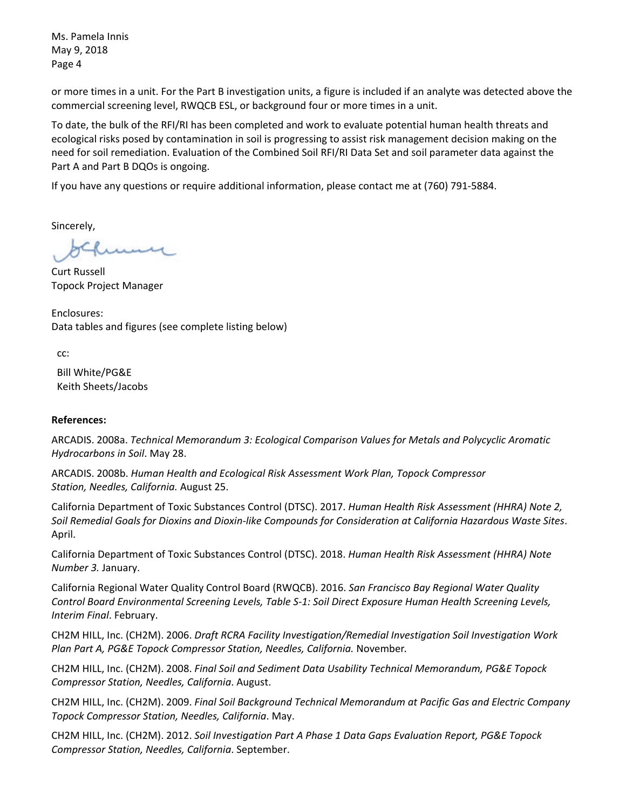Ms. Pamela Innis May 9, 2018 Page 4

or more times in a unit. For the Part B investigation units, a figure is included if an analyte was detected above the commercial screening level, RWQCB ESL, or background four or more times in a unit.

To date, the bulk of the RFI/RI has been completed and work to evaluate potential human health threats and ecological risks posed by contamination in soil is progressing to assist risk management decision making on the need for soil remediation. Evaluation of the Combined Soil RFI/RI Data Set and soil parameter data against the Part A and Part B DQOs is ongoing.

If you have any questions or require additional information, please contact me at (760) 791-5884.

Sincerely,

سسىد

Curt Russell Topock Project Manager

Enclosures: Data tables and figures (see complete listing below)

cc:

Bill White/PG&E Keith Sheets/Jacobs

## **References:**

ARCADIS. 2008a. *Technical Memorandum 3: Ecological Comparison Values for Metals and Polycyclic Aromatic Hydrocarbons in Soil*. May 28.

ARCADIS. 2008b. *Human Health and Ecological Risk Assessment Work Plan, Topock Compressor Station, Needles, California.* August 25.

California Department of Toxic Substances Control (DTSC). 2017. *Human Health Risk Assessment (HHRA) Note 2, Soil Remedial Goals for Dioxins and Dioxin-like Compounds for Consideration at California Hazardous Waste Sites*. April.

California Department of Toxic Substances Control (DTSC). 2018. *Human Health Risk Assessment (HHRA) Note Number 3.* January.

California Regional Water Quality Control Board (RWQCB). 2016. *San Francisco Bay Regional Water Quality Control Board Environmental Screening Levels, Table S-1: Soil Direct Exposure Human Health Screening Levels, Interim Final*. February.

CH2M HILL, Inc. (CH2M). 2006. *Draft RCRA Facility Investigation/Remedial Investigation Soil Investigation Work Plan Part A, PG&E Topock Compressor Station, Needles, California.* November.

CH2M HILL, Inc. (CH2M). 2008. *Final Soil and Sediment Data Usability Technical Memorandum, PG&E Topock Compressor Station, Needles, California*. August.

CH2M HILL, Inc. (CH2M). 2009. *Final Soil Background Technical Memorandum at Pacific Gas and Electric Company Topock Compressor Station, Needles, California*. May.

CH2M HILL, Inc. (CH2M). 2012. *Soil Investigation Part A Phase 1 Data Gaps Evaluation Report, PG&E Topock Compressor Station, Needles, California*. September.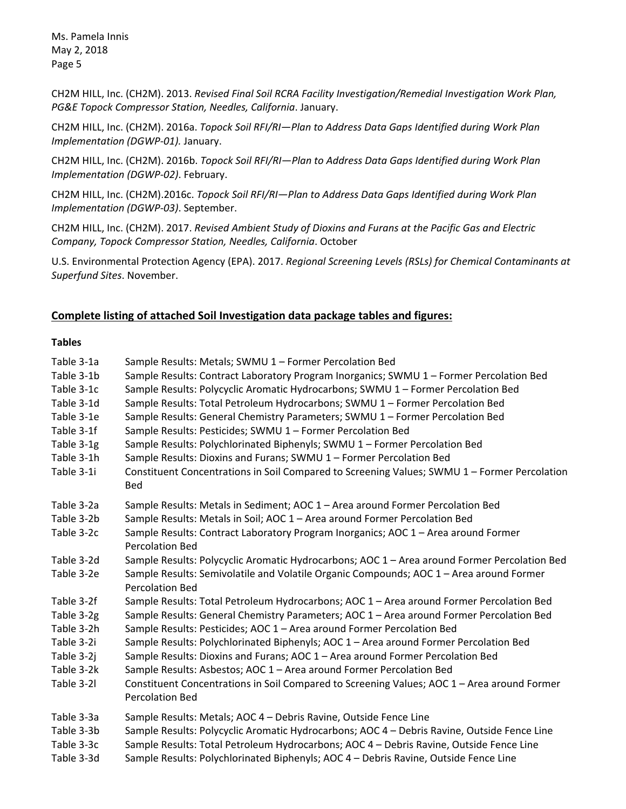Ms. Pamela Innis May 2, 2018 Page 5

CH2M HILL, Inc. (CH2M). 2013. *Revised Final Soil RCRA Facility Investigation/Remedial Investigation Work Plan, PG&E Topock Compressor Station, Needles, California*. January.

CH2M HILL, Inc. (CH2M). 2016a. *Topock Soil RFI/RI—Plan to Address Data Gaps Identified during Work Plan Implementation (DGWP-01).* January.

CH2M HILL, Inc. (CH2M). 2016b. *Topock Soil RFI/RI—Plan to Address Data Gaps Identified during Work Plan Implementation (DGWP-02)*. February.

CH2M HILL, Inc. (CH2M).2016c. *Topock Soil RFI/RI—Plan to Address Data Gaps Identified during Work Plan Implementation (DGWP-03)*. September.

CH2M HILL, Inc. (CH2M). 2017. *Revised Ambient Study of Dioxins and Furans at the Pacific Gas and Electric Company, Topock Compressor Station, Needles, California*. October

U.S. Environmental Protection Agency (EPA). 2017. *Regional Screening Levels (RSLs) for Chemical Contaminants at Superfund Sites*. November.

## **Complete listing of attached Soil Investigation data package tables and figures:**

## **Tables**

| Table 3-1a<br>Table 3-1b<br>Table 3-1c<br>Table 3-1d<br>Table 3-1e<br>Table 3-1f<br>Table 3-1g<br>Table 3-1h<br>Table 3-1i | Sample Results: Metals; SWMU 1 - Former Percolation Bed<br>Sample Results: Contract Laboratory Program Inorganics; SWMU 1 - Former Percolation Bed<br>Sample Results: Polycyclic Aromatic Hydrocarbons; SWMU 1 - Former Percolation Bed<br>Sample Results: Total Petroleum Hydrocarbons; SWMU 1 - Former Percolation Bed<br>Sample Results: General Chemistry Parameters; SWMU 1 - Former Percolation Bed<br>Sample Results: Pesticides; SWMU 1 - Former Percolation Bed<br>Sample Results: Polychlorinated Biphenyls; SWMU 1 - Former Percolation Bed<br>Sample Results: Dioxins and Furans; SWMU 1 - Former Percolation Bed<br>Constituent Concentrations in Soil Compared to Screening Values; SWMU 1 - Former Percolation<br><b>Bed</b> |
|----------------------------------------------------------------------------------------------------------------------------|---------------------------------------------------------------------------------------------------------------------------------------------------------------------------------------------------------------------------------------------------------------------------------------------------------------------------------------------------------------------------------------------------------------------------------------------------------------------------------------------------------------------------------------------------------------------------------------------------------------------------------------------------------------------------------------------------------------------------------------------|
| Table 3-2a<br>Table 3-2b                                                                                                   | Sample Results: Metals in Sediment; AOC 1 - Area around Former Percolation Bed<br>Sample Results: Metals in Soil; AOC 1 - Area around Former Percolation Bed                                                                                                                                                                                                                                                                                                                                                                                                                                                                                                                                                                                |
| Table 3-2c                                                                                                                 | Sample Results: Contract Laboratory Program Inorganics; AOC 1 - Area around Former<br><b>Percolation Bed</b>                                                                                                                                                                                                                                                                                                                                                                                                                                                                                                                                                                                                                                |
| Table 3-2d                                                                                                                 | Sample Results: Polycyclic Aromatic Hydrocarbons; AOC 1 - Area around Former Percolation Bed                                                                                                                                                                                                                                                                                                                                                                                                                                                                                                                                                                                                                                                |
| Table 3-2e                                                                                                                 | Sample Results: Semivolatile and Volatile Organic Compounds; AOC 1 - Area around Former<br><b>Percolation Bed</b>                                                                                                                                                                                                                                                                                                                                                                                                                                                                                                                                                                                                                           |
| Table 3-2f                                                                                                                 | Sample Results: Total Petroleum Hydrocarbons; AOC 1 - Area around Former Percolation Bed                                                                                                                                                                                                                                                                                                                                                                                                                                                                                                                                                                                                                                                    |
| Table 3-2g                                                                                                                 | Sample Results: General Chemistry Parameters; AOC 1 - Area around Former Percolation Bed                                                                                                                                                                                                                                                                                                                                                                                                                                                                                                                                                                                                                                                    |
| Table 3-2h                                                                                                                 | Sample Results: Pesticides; AOC 1 - Area around Former Percolation Bed                                                                                                                                                                                                                                                                                                                                                                                                                                                                                                                                                                                                                                                                      |
| Table 3-2i                                                                                                                 | Sample Results: Polychlorinated Biphenyls; AOC 1 - Area around Former Percolation Bed                                                                                                                                                                                                                                                                                                                                                                                                                                                                                                                                                                                                                                                       |
| Table 3-2j                                                                                                                 | Sample Results: Dioxins and Furans; AOC 1 - Area around Former Percolation Bed                                                                                                                                                                                                                                                                                                                                                                                                                                                                                                                                                                                                                                                              |
| Table 3-2k                                                                                                                 | Sample Results: Asbestos; AOC 1 - Area around Former Percolation Bed                                                                                                                                                                                                                                                                                                                                                                                                                                                                                                                                                                                                                                                                        |
| Table 3-2l                                                                                                                 | Constituent Concentrations in Soil Compared to Screening Values; AOC 1 - Area around Former<br><b>Percolation Bed</b>                                                                                                                                                                                                                                                                                                                                                                                                                                                                                                                                                                                                                       |
| Table 3-3a                                                                                                                 | Sample Results: Metals; AOC 4 - Debris Ravine, Outside Fence Line                                                                                                                                                                                                                                                                                                                                                                                                                                                                                                                                                                                                                                                                           |
| Table 3-3b                                                                                                                 | Sample Results: Polycyclic Aromatic Hydrocarbons; AOC 4 - Debris Ravine, Outside Fence Line                                                                                                                                                                                                                                                                                                                                                                                                                                                                                                                                                                                                                                                 |
| Table 3-3c                                                                                                                 | Sample Results: Total Petroleum Hydrocarbons; AOC 4 - Debris Ravine, Outside Fence Line                                                                                                                                                                                                                                                                                                                                                                                                                                                                                                                                                                                                                                                     |
| Table 3-3d                                                                                                                 | Sample Results: Polychlorinated Biphenyls; AOC 4 - Debris Ravine, Outside Fence Line                                                                                                                                                                                                                                                                                                                                                                                                                                                                                                                                                                                                                                                        |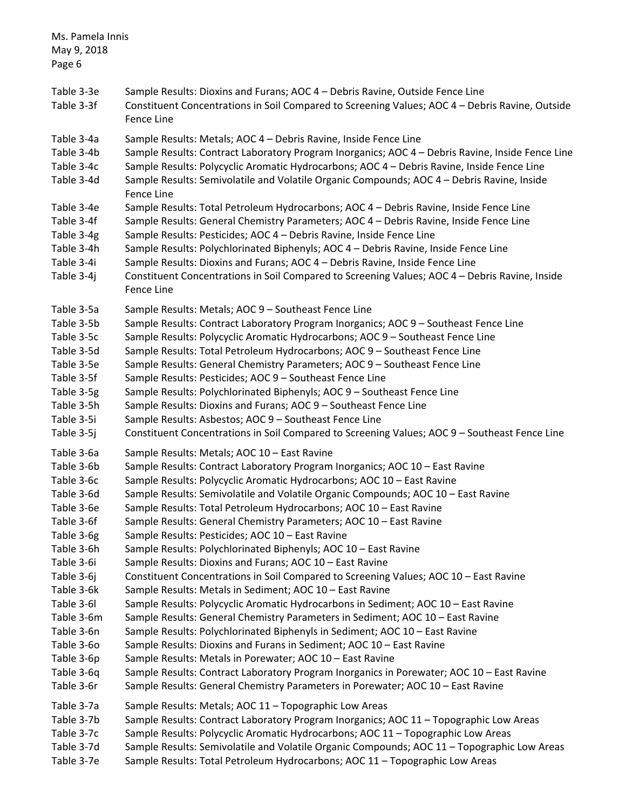| Ms. Pamela Innis<br>May 9, 2018<br>Page 6                                                                                                                                                                                                                |                                                                                                                                                                                                                                                                                                                                                                                                                                                                                                                                                                                                                                                                                                                                                                                                                                                                                                                                                                                                                                                                                                                                                                                                                                                                                                                                                             |
|----------------------------------------------------------------------------------------------------------------------------------------------------------------------------------------------------------------------------------------------------------|-------------------------------------------------------------------------------------------------------------------------------------------------------------------------------------------------------------------------------------------------------------------------------------------------------------------------------------------------------------------------------------------------------------------------------------------------------------------------------------------------------------------------------------------------------------------------------------------------------------------------------------------------------------------------------------------------------------------------------------------------------------------------------------------------------------------------------------------------------------------------------------------------------------------------------------------------------------------------------------------------------------------------------------------------------------------------------------------------------------------------------------------------------------------------------------------------------------------------------------------------------------------------------------------------------------------------------------------------------------|
| Table 3-3e<br>Table 3-3f                                                                                                                                                                                                                                 | Sample Results: Dioxins and Furans; AOC 4 - Debris Ravine, Outside Fence Line<br>Constituent Concentrations in Soil Compared to Screening Values; AOC 4 - Debris Ravine, Outside<br>Fence Line                                                                                                                                                                                                                                                                                                                                                                                                                                                                                                                                                                                                                                                                                                                                                                                                                                                                                                                                                                                                                                                                                                                                                              |
| Table 3-4a<br>Table 3-4b<br>Table 3-4c<br>Table 3-4d                                                                                                                                                                                                     | Sample Results: Metals; AOC 4 - Debris Ravine, Inside Fence Line<br>Sample Results: Contract Laboratory Program Inorganics; AOC 4 - Debris Ravine, Inside Fence Line<br>Sample Results: Polycyclic Aromatic Hydrocarbons; AOC 4 - Debris Ravine, Inside Fence Line<br>Sample Results: Semivolatile and Volatile Organic Compounds; AOC 4 - Debris Ravine, Inside<br>Fence Line                                                                                                                                                                                                                                                                                                                                                                                                                                                                                                                                                                                                                                                                                                                                                                                                                                                                                                                                                                              |
| Table 3-4e<br>Table 3-4f<br>Table 3-4g<br>Table 3-4h<br>Table 3-4i<br>Table 3-4j                                                                                                                                                                         | Sample Results: Total Petroleum Hydrocarbons; AOC 4 - Debris Ravine, Inside Fence Line<br>Sample Results: General Chemistry Parameters; AOC 4 - Debris Ravine, Inside Fence Line<br>Sample Results: Pesticides; AOC 4 - Debris Ravine, Inside Fence Line<br>Sample Results: Polychlorinated Biphenyls; AOC 4 - Debris Ravine, Inside Fence Line<br>Sample Results: Dioxins and Furans; AOC 4 - Debris Ravine, Inside Fence Line<br>Constituent Concentrations in Soil Compared to Screening Values; AOC 4 - Debris Ravine, Inside<br>Fence Line                                                                                                                                                                                                                                                                                                                                                                                                                                                                                                                                                                                                                                                                                                                                                                                                             |
| Table 3-5a<br>Table 3-5b<br>Table 3-5c<br>Table 3-5d<br>Table 3-5e<br>Table 3-5f<br>Table 3-5g<br>Table 3-5h<br>Table 3-5i<br>Table 3-5j                                                                                                                 | Sample Results: Metals; AOC 9 - Southeast Fence Line<br>Sample Results: Contract Laboratory Program Inorganics; AOC 9 - Southeast Fence Line<br>Sample Results: Polycyclic Aromatic Hydrocarbons; AOC 9 - Southeast Fence Line<br>Sample Results: Total Petroleum Hydrocarbons; AOC 9 - Southeast Fence Line<br>Sample Results: General Chemistry Parameters; AOC 9 - Southeast Fence Line<br>Sample Results: Pesticides; AOC 9 - Southeast Fence Line<br>Sample Results: Polychlorinated Biphenyls; AOC 9 - Southeast Fence Line<br>Sample Results: Dioxins and Furans; AOC 9 - Southeast Fence Line<br>Sample Results: Asbestos; AOC 9 - Southeast Fence Line<br>Constituent Concentrations in Soil Compared to Screening Values; AOC 9 - Southeast Fence Line                                                                                                                                                                                                                                                                                                                                                                                                                                                                                                                                                                                            |
| Table 3-6a<br>Table 3-6b<br>Table 3-6c<br>Table 3-6d<br>Table 3-6e<br>Table 3-6f<br>Table 3-6g<br>Table 3-6h<br>Table 3-6i<br>Table 3-6j<br>Table 3-6k<br>Table 3-6I<br>Table 3-6m<br>Table 3-6n<br>Table 3-60<br>Table 3-6p<br>Table 3-6q<br>Table 3-6r | Sample Results: Metals; AOC 10 - East Ravine<br>Sample Results: Contract Laboratory Program Inorganics; AOC 10 - East Ravine<br>Sample Results: Polycyclic Aromatic Hydrocarbons; AOC 10 - East Ravine<br>Sample Results: Semivolatile and Volatile Organic Compounds; AOC 10 - East Ravine<br>Sample Results: Total Petroleum Hydrocarbons; AOC 10 - East Ravine<br>Sample Results: General Chemistry Parameters; AOC 10 - East Ravine<br>Sample Results: Pesticides; AOC 10 - East Ravine<br>Sample Results: Polychlorinated Biphenyls; AOC 10 - East Ravine<br>Sample Results: Dioxins and Furans; AOC 10 - East Ravine<br>Constituent Concentrations in Soil Compared to Screening Values; AOC 10 - East Ravine<br>Sample Results: Metals in Sediment; AOC 10 - East Ravine<br>Sample Results: Polycyclic Aromatic Hydrocarbons in Sediment; AOC 10 - East Ravine<br>Sample Results: General Chemistry Parameters in Sediment; AOC 10 - East Ravine<br>Sample Results: Polychlorinated Biphenyls in Sediment; AOC 10 - East Ravine<br>Sample Results: Dioxins and Furans in Sediment; AOC 10 - East Ravine<br>Sample Results: Metals in Porewater; AOC 10 - East Ravine<br>Sample Results: Contract Laboratory Program Inorganics in Porewater; AOC 10 - East Ravine<br>Sample Results: General Chemistry Parameters in Porewater; AOC 10 - East Ravine |
| Table 3-7a<br>Table 3-7b<br>Table 3-7c<br>Table 3-7d<br>Table 3-7e                                                                                                                                                                                       | Sample Results: Metals; AOC 11 - Topographic Low Areas<br>Sample Results: Contract Laboratory Program Inorganics; AOC 11 - Topographic Low Areas<br>Sample Results: Polycyclic Aromatic Hydrocarbons; AOC 11 - Topographic Low Areas<br>Sample Results: Semivolatile and Volatile Organic Compounds; AOC 11 - Topographic Low Areas<br>Sample Results: Total Petroleum Hydrocarbons; AOC 11 - Topographic Low Areas                                                                                                                                                                                                                                                                                                                                                                                                                                                                                                                                                                                                                                                                                                                                                                                                                                                                                                                                         |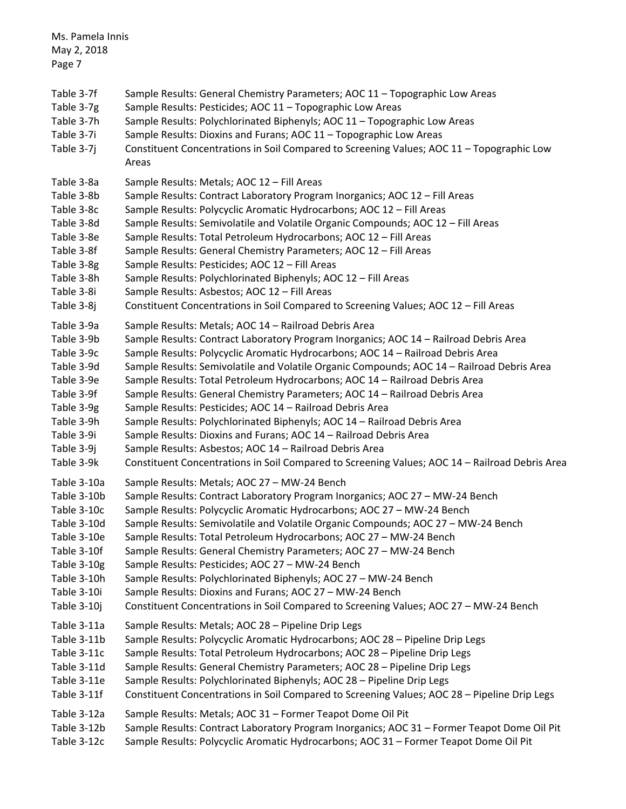| Ms. Pamela Innis<br>May 2, 2018<br>Page 7                          |                                                                                                                                                                                                                                                                                                                                                                                                     |
|--------------------------------------------------------------------|-----------------------------------------------------------------------------------------------------------------------------------------------------------------------------------------------------------------------------------------------------------------------------------------------------------------------------------------------------------------------------------------------------|
| Table 3-7f<br>Table 3-7g<br>Table 3-7h<br>Table 3-7i<br>Table 3-7j | Sample Results: General Chemistry Parameters; AOC 11 - Topographic Low Areas<br>Sample Results: Pesticides; AOC 11 - Topographic Low Areas<br>Sample Results: Polychlorinated Biphenyls; AOC 11 - Topographic Low Areas<br>Sample Results: Dioxins and Furans; AOC 11 - Topographic Low Areas<br>Constituent Concentrations in Soil Compared to Screening Values; AOC 11 - Topographic Low<br>Areas |
| Table 3-8a                                                         | Sample Results: Metals; AOC 12 - Fill Areas                                                                                                                                                                                                                                                                                                                                                         |
| Table 3-8b                                                         | Sample Results: Contract Laboratory Program Inorganics; AOC 12 - Fill Areas                                                                                                                                                                                                                                                                                                                         |
| Table 3-8c                                                         | Sample Results: Polycyclic Aromatic Hydrocarbons; AOC 12 - Fill Areas                                                                                                                                                                                                                                                                                                                               |
| Table 3-8d                                                         | Sample Results: Semivolatile and Volatile Organic Compounds; AOC 12 - Fill Areas                                                                                                                                                                                                                                                                                                                    |
| Table 3-8e                                                         | Sample Results: Total Petroleum Hydrocarbons; AOC 12 - Fill Areas                                                                                                                                                                                                                                                                                                                                   |
| Table 3-8f                                                         | Sample Results: General Chemistry Parameters; AOC 12 - Fill Areas                                                                                                                                                                                                                                                                                                                                   |
| Table 3-8g                                                         | Sample Results: Pesticides; AOC 12 - Fill Areas                                                                                                                                                                                                                                                                                                                                                     |
| Table 3-8h                                                         | Sample Results: Polychlorinated Biphenyls; AOC 12 - Fill Areas                                                                                                                                                                                                                                                                                                                                      |
| Table 3-8i                                                         | Sample Results: Asbestos; AOC 12 - Fill Areas                                                                                                                                                                                                                                                                                                                                                       |
| Table 3-8j                                                         | Constituent Concentrations in Soil Compared to Screening Values; AOC 12 - Fill Areas                                                                                                                                                                                                                                                                                                                |
| Table 3-9a                                                         | Sample Results: Metals; AOC 14 - Railroad Debris Area                                                                                                                                                                                                                                                                                                                                               |
| Table 3-9b                                                         | Sample Results: Contract Laboratory Program Inorganics; AOC 14 - Railroad Debris Area                                                                                                                                                                                                                                                                                                               |
| Table 3-9c                                                         | Sample Results: Polycyclic Aromatic Hydrocarbons; AOC 14 - Railroad Debris Area                                                                                                                                                                                                                                                                                                                     |
| Table 3-9d                                                         | Sample Results: Semivolatile and Volatile Organic Compounds; AOC 14 - Railroad Debris Area                                                                                                                                                                                                                                                                                                          |
| Table 3-9e                                                         | Sample Results: Total Petroleum Hydrocarbons; AOC 14 - Railroad Debris Area                                                                                                                                                                                                                                                                                                                         |
| Table 3-9f                                                         | Sample Results: General Chemistry Parameters; AOC 14 - Railroad Debris Area                                                                                                                                                                                                                                                                                                                         |
| Table 3-9g                                                         | Sample Results: Pesticides; AOC 14 - Railroad Debris Area                                                                                                                                                                                                                                                                                                                                           |
| Table 3-9h                                                         | Sample Results: Polychlorinated Biphenyls; AOC 14 - Railroad Debris Area                                                                                                                                                                                                                                                                                                                            |
| Table 3-9i                                                         | Sample Results: Dioxins and Furans; AOC 14 - Railroad Debris Area                                                                                                                                                                                                                                                                                                                                   |
| Table 3-9j                                                         | Sample Results: Asbestos; AOC 14 - Railroad Debris Area                                                                                                                                                                                                                                                                                                                                             |
| Table 3-9k                                                         | Constituent Concentrations in Soil Compared to Screening Values; AOC 14 - Railroad Debris Area                                                                                                                                                                                                                                                                                                      |
| Table 3-10a                                                        | Sample Results: Metals; AOC 27 - MW-24 Bench                                                                                                                                                                                                                                                                                                                                                        |
| Table 3-10b                                                        | Sample Results: Contract Laboratory Program Inorganics; AOC 27 - MW-24 Bench                                                                                                                                                                                                                                                                                                                        |
| Table 3-10c                                                        | Sample Results: Polycyclic Aromatic Hydrocarbons; AOC 27 - MW-24 Bench                                                                                                                                                                                                                                                                                                                              |
| Table 3-10d                                                        | Sample Results: Semivolatile and Volatile Organic Compounds; AOC 27 - MW-24 Bench                                                                                                                                                                                                                                                                                                                   |
| Table 3-10e                                                        | Sample Results: Total Petroleum Hydrocarbons; AOC 27 - MW-24 Bench                                                                                                                                                                                                                                                                                                                                  |
| Table 3-10f                                                        | Sample Results: General Chemistry Parameters; AOC 27 - MW-24 Bench                                                                                                                                                                                                                                                                                                                                  |
| Table 3-10g                                                        | Sample Results: Pesticides; AOC 27 - MW-24 Bench                                                                                                                                                                                                                                                                                                                                                    |
| Table 3-10h                                                        | Sample Results: Polychlorinated Biphenyls; AOC 27 - MW-24 Bench                                                                                                                                                                                                                                                                                                                                     |
| Table 3-10i                                                        | Sample Results: Dioxins and Furans; AOC 27 - MW-24 Bench                                                                                                                                                                                                                                                                                                                                            |
| Table 3-10j                                                        | Constituent Concentrations in Soil Compared to Screening Values; AOC 27 - MW-24 Bench                                                                                                                                                                                                                                                                                                               |
| Table 3-11a                                                        | Sample Results: Metals; AOC 28 - Pipeline Drip Legs                                                                                                                                                                                                                                                                                                                                                 |
| Table 3-11b                                                        | Sample Results: Polycyclic Aromatic Hydrocarbons; AOC 28 - Pipeline Drip Legs                                                                                                                                                                                                                                                                                                                       |
| Table 3-11c                                                        | Sample Results: Total Petroleum Hydrocarbons; AOC 28 - Pipeline Drip Legs                                                                                                                                                                                                                                                                                                                           |
| Table 3-11d                                                        | Sample Results: General Chemistry Parameters; AOC 28 - Pipeline Drip Legs                                                                                                                                                                                                                                                                                                                           |
| Table 3-11e                                                        | Sample Results: Polychlorinated Biphenyls; AOC 28 - Pipeline Drip Legs                                                                                                                                                                                                                                                                                                                              |
| Table 3-11f                                                        | Constituent Concentrations in Soil Compared to Screening Values; AOC 28 - Pipeline Drip Legs                                                                                                                                                                                                                                                                                                        |
| Table 3-12a                                                        | Sample Results: Metals; AOC 31 - Former Teapot Dome Oil Pit                                                                                                                                                                                                                                                                                                                                         |
| Table 3-12b                                                        | Sample Results: Contract Laboratory Program Inorganics; AOC 31 - Former Teapot Dome Oil Pit                                                                                                                                                                                                                                                                                                         |
| Table 3-12c                                                        | Sample Results: Polycyclic Aromatic Hydrocarbons; AOC 31 - Former Teapot Dome Oil Pit                                                                                                                                                                                                                                                                                                               |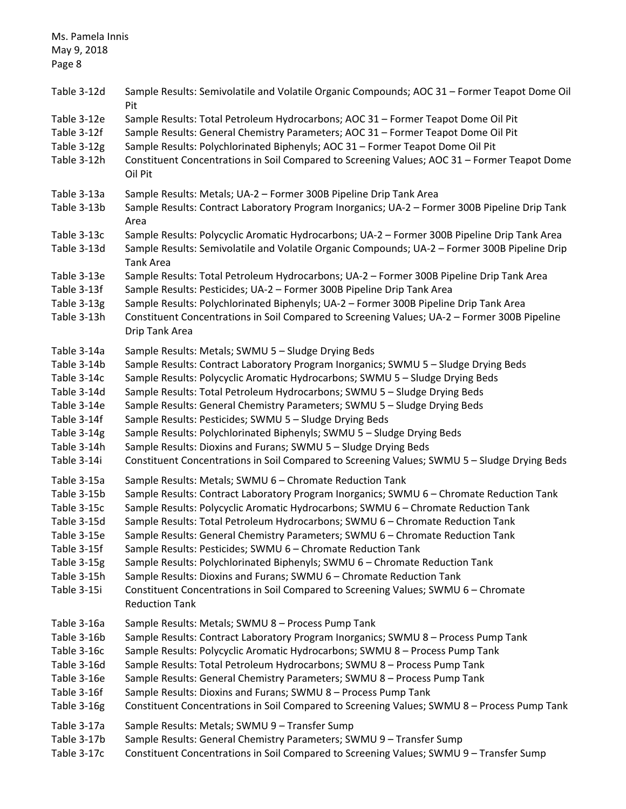| Ms. Pamela Innis<br>May 9, 2018<br>Page 8                                                                                           |                                                                                                                                                                                                                                                                                                                                                                                                                                                                                                                                                                                                                                                                                                                                                      |
|-------------------------------------------------------------------------------------------------------------------------------------|------------------------------------------------------------------------------------------------------------------------------------------------------------------------------------------------------------------------------------------------------------------------------------------------------------------------------------------------------------------------------------------------------------------------------------------------------------------------------------------------------------------------------------------------------------------------------------------------------------------------------------------------------------------------------------------------------------------------------------------------------|
| Table 3-12d                                                                                                                         | Sample Results: Semivolatile and Volatile Organic Compounds; AOC 31 - Former Teapot Dome Oil<br>Pit                                                                                                                                                                                                                                                                                                                                                                                                                                                                                                                                                                                                                                                  |
| Table 3-12e<br>Table 3-12f<br>Table 3-12g<br>Table 3-12h                                                                            | Sample Results: Total Petroleum Hydrocarbons; AOC 31 - Former Teapot Dome Oil Pit<br>Sample Results: General Chemistry Parameters; AOC 31 - Former Teapot Dome Oil Pit<br>Sample Results: Polychlorinated Biphenyls; AOC 31 - Former Teapot Dome Oil Pit<br>Constituent Concentrations in Soil Compared to Screening Values; AOC 31 - Former Teapot Dome<br>Oil Pit                                                                                                                                                                                                                                                                                                                                                                                  |
| Table 3-13a<br>Table 3-13b                                                                                                          | Sample Results: Metals; UA-2 - Former 300B Pipeline Drip Tank Area<br>Sample Results: Contract Laboratory Program Inorganics; UA-2 - Former 300B Pipeline Drip Tank<br>Area                                                                                                                                                                                                                                                                                                                                                                                                                                                                                                                                                                          |
| Table 3-13c<br>Table 3-13d                                                                                                          | Sample Results: Polycyclic Aromatic Hydrocarbons; UA-2 - Former 300B Pipeline Drip Tank Area<br>Sample Results: Semivolatile and Volatile Organic Compounds; UA-2 - Former 300B Pipeline Drip<br><b>Tank Area</b>                                                                                                                                                                                                                                                                                                                                                                                                                                                                                                                                    |
| Table 3-13e<br>Table 3-13f<br>Table 3-13g<br>Table 3-13h                                                                            | Sample Results: Total Petroleum Hydrocarbons; UA-2 - Former 300B Pipeline Drip Tank Area<br>Sample Results: Pesticides; UA-2 - Former 300B Pipeline Drip Tank Area<br>Sample Results: Polychlorinated Biphenyls; UA-2 - Former 300B Pipeline Drip Tank Area<br>Constituent Concentrations in Soil Compared to Screening Values; UA-2 - Former 300B Pipeline<br>Drip Tank Area                                                                                                                                                                                                                                                                                                                                                                        |
| Table 3-14a<br>Table 3-14b<br>Table 3-14c<br>Table 3-14d<br>Table 3-14e<br>Table 3-14f<br>Table 3-14g<br>Table 3-14h<br>Table 3-14i | Sample Results: Metals; SWMU 5 - Sludge Drying Beds<br>Sample Results: Contract Laboratory Program Inorganics; SWMU 5 - Sludge Drying Beds<br>Sample Results: Polycyclic Aromatic Hydrocarbons; SWMU 5 - Sludge Drying Beds<br>Sample Results: Total Petroleum Hydrocarbons; SWMU 5 - Sludge Drying Beds<br>Sample Results: General Chemistry Parameters; SWMU 5 - Sludge Drying Beds<br>Sample Results: Pesticides; SWMU 5 - Sludge Drying Beds<br>Sample Results: Polychlorinated Biphenyls; SWMU 5 - Sludge Drying Beds<br>Sample Results: Dioxins and Furans; SWMU 5 - Sludge Drying Beds<br>Constituent Concentrations in Soil Compared to Screening Values; SWMU 5 - Sludge Drying Beds                                                        |
| Table 3-15a<br>Table 3-15b<br>Table 3-15c<br>Table 3-15d<br>Table 3-15e<br>Table 3-15f<br>Table 3-15g<br>Table 3-15h<br>Table 3-15i | Sample Results: Metals; SWMU 6 - Chromate Reduction Tank<br>Sample Results: Contract Laboratory Program Inorganics; SWMU 6 - Chromate Reduction Tank<br>Sample Results: Polycyclic Aromatic Hydrocarbons; SWMU 6 - Chromate Reduction Tank<br>Sample Results: Total Petroleum Hydrocarbons; SWMU 6 - Chromate Reduction Tank<br>Sample Results: General Chemistry Parameters; SWMU 6 - Chromate Reduction Tank<br>Sample Results: Pesticides; SWMU 6 - Chromate Reduction Tank<br>Sample Results: Polychlorinated Biphenyls; SWMU 6 - Chromate Reduction Tank<br>Sample Results: Dioxins and Furans; SWMU 6 - Chromate Reduction Tank<br>Constituent Concentrations in Soil Compared to Screening Values; SWMU 6 - Chromate<br><b>Reduction Tank</b> |
| Table 3-16a<br>Table 3-16b<br>Table 3-16c<br>Table 3-16d<br>Table 3-16e<br>Table 3-16f<br>Table 3-16g                               | Sample Results: Metals; SWMU 8 - Process Pump Tank<br>Sample Results: Contract Laboratory Program Inorganics; SWMU 8 - Process Pump Tank<br>Sample Results: Polycyclic Aromatic Hydrocarbons; SWMU 8 - Process Pump Tank<br>Sample Results: Total Petroleum Hydrocarbons; SWMU 8 - Process Pump Tank<br>Sample Results: General Chemistry Parameters; SWMU 8 - Process Pump Tank<br>Sample Results: Dioxins and Furans; SWMU 8 - Process Pump Tank<br>Constituent Concentrations in Soil Compared to Screening Values; SWMU 8 - Process Pump Tank                                                                                                                                                                                                    |
| Table 3-17a<br>Table 3-17b<br>Table 3-17c                                                                                           | Sample Results: Metals; SWMU 9 - Transfer Sump<br>Sample Results: General Chemistry Parameters; SWMU 9 - Transfer Sump<br>Constituent Concentrations in Soil Compared to Screening Values; SWMU 9 - Transfer Sump                                                                                                                                                                                                                                                                                                                                                                                                                                                                                                                                    |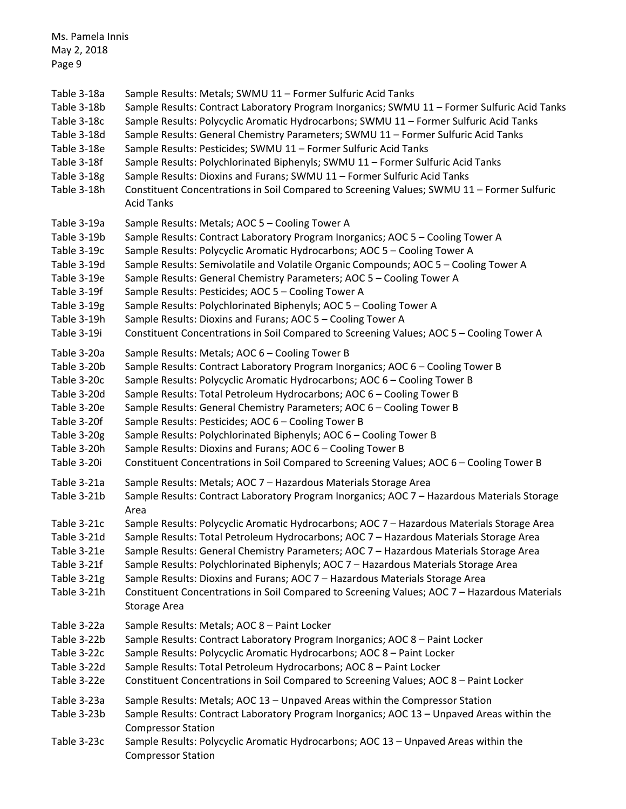| Ms. Pamela Innis<br>May 2, 2018<br>Page 9                                                                                           |                                                                                                                                                                                                                                                                                                                                                                                                                                                                                                                                                                                                                                                                                                                                                  |
|-------------------------------------------------------------------------------------------------------------------------------------|--------------------------------------------------------------------------------------------------------------------------------------------------------------------------------------------------------------------------------------------------------------------------------------------------------------------------------------------------------------------------------------------------------------------------------------------------------------------------------------------------------------------------------------------------------------------------------------------------------------------------------------------------------------------------------------------------------------------------------------------------|
| Table 3-18a<br>Table 3-18b<br>Table 3-18c<br>Table 3-18d<br>Table 3-18e<br>Table 3-18f<br>Table 3-18g<br>Table 3-18h                | Sample Results: Metals; SWMU 11 - Former Sulfuric Acid Tanks<br>Sample Results: Contract Laboratory Program Inorganics; SWMU 11 - Former Sulfuric Acid Tanks<br>Sample Results: Polycyclic Aromatic Hydrocarbons; SWMU 11 - Former Sulfuric Acid Tanks<br>Sample Results: General Chemistry Parameters; SWMU 11 - Former Sulfuric Acid Tanks<br>Sample Results: Pesticides; SWMU 11 - Former Sulfuric Acid Tanks<br>Sample Results: Polychlorinated Biphenyls; SWMU 11 - Former Sulfuric Acid Tanks<br>Sample Results: Dioxins and Furans; SWMU 11 - Former Sulfuric Acid Tanks<br>Constituent Concentrations in Soil Compared to Screening Values; SWMU 11 - Former Sulfuric<br><b>Acid Tanks</b>                                               |
| Table 3-19a<br>Table 3-19b<br>Table 3-19c<br>Table 3-19d<br>Table 3-19e<br>Table 3-19f<br>Table 3-19g<br>Table 3-19h<br>Table 3-19i | Sample Results: Metals; AOC 5 - Cooling Tower A<br>Sample Results: Contract Laboratory Program Inorganics; AOC 5 - Cooling Tower A<br>Sample Results: Polycyclic Aromatic Hydrocarbons; AOC 5 - Cooling Tower A<br>Sample Results: Semivolatile and Volatile Organic Compounds; AOC 5 - Cooling Tower A<br>Sample Results: General Chemistry Parameters; AOC 5 - Cooling Tower A<br>Sample Results: Pesticides; AOC 5 - Cooling Tower A<br>Sample Results: Polychlorinated Biphenyls; AOC 5 - Cooling Tower A<br>Sample Results: Dioxins and Furans; AOC 5 - Cooling Tower A<br>Constituent Concentrations in Soil Compared to Screening Values; AOC 5 - Cooling Tower A                                                                         |
| Table 3-20a<br>Table 3-20b<br>Table 3-20c<br>Table 3-20d<br>Table 3-20e<br>Table 3-20f<br>Table 3-20g<br>Table 3-20h<br>Table 3-20i | Sample Results: Metals; AOC 6 - Cooling Tower B<br>Sample Results: Contract Laboratory Program Inorganics; AOC 6 - Cooling Tower B<br>Sample Results: Polycyclic Aromatic Hydrocarbons; AOC 6 - Cooling Tower B<br>Sample Results: Total Petroleum Hydrocarbons; AOC 6 - Cooling Tower B<br>Sample Results: General Chemistry Parameters; AOC 6 - Cooling Tower B<br>Sample Results: Pesticides; AOC 6 - Cooling Tower B<br>Sample Results: Polychlorinated Biphenyls; AOC 6 - Cooling Tower B<br>Sample Results: Dioxins and Furans; AOC 6 - Cooling Tower B<br>Constituent Concentrations in Soil Compared to Screening Values; AOC 6 - Cooling Tower B                                                                                        |
| Table 3-21a<br>Table 3-21b<br>Table 3-21c<br>Table 3-21d<br>Table 3-21e<br>Table 3-21f<br>Table 3-21g<br>Table 3-21h                | Sample Results: Metals; AOC 7 - Hazardous Materials Storage Area<br>Sample Results: Contract Laboratory Program Inorganics; AOC 7 - Hazardous Materials Storage<br>Area<br>Sample Results: Polycyclic Aromatic Hydrocarbons; AOC 7 - Hazardous Materials Storage Area<br>Sample Results: Total Petroleum Hydrocarbons; AOC 7 - Hazardous Materials Storage Area<br>Sample Results: General Chemistry Parameters; AOC 7 - Hazardous Materials Storage Area<br>Sample Results: Polychlorinated Biphenyls; AOC 7 - Hazardous Materials Storage Area<br>Sample Results: Dioxins and Furans; AOC 7 - Hazardous Materials Storage Area<br>Constituent Concentrations in Soil Compared to Screening Values; AOC 7 - Hazardous Materials<br>Storage Area |
| Table 3-22a<br>Table 3-22b<br>Table 3-22c<br>Table 3-22d<br>Table 3-22e                                                             | Sample Results: Metals; AOC 8 - Paint Locker<br>Sample Results: Contract Laboratory Program Inorganics; AOC 8 - Paint Locker<br>Sample Results: Polycyclic Aromatic Hydrocarbons; AOC 8 - Paint Locker<br>Sample Results: Total Petroleum Hydrocarbons; AOC 8 - Paint Locker<br>Constituent Concentrations in Soil Compared to Screening Values; AOC 8 - Paint Locker                                                                                                                                                                                                                                                                                                                                                                            |
| Table 3-23a<br>Table 3-23b<br>Table 3-23c                                                                                           | Sample Results: Metals; AOC 13 - Unpaved Areas within the Compressor Station<br>Sample Results: Contract Laboratory Program Inorganics; AOC 13 - Unpaved Areas within the<br><b>Compressor Station</b><br>Sample Results: Polycyclic Aromatic Hydrocarbons; AOC 13 - Unpaved Areas within the<br><b>Compressor Station</b>                                                                                                                                                                                                                                                                                                                                                                                                                       |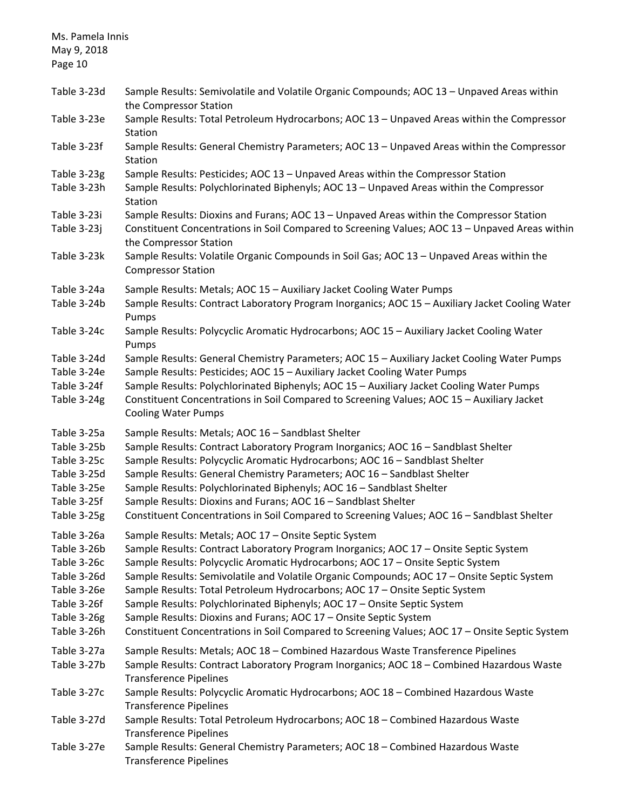| Ms. Pamela Innis<br>May 9, 2018<br>Page 10                                                                           |                                                                                                                                                                                                                                                                                                                                                                                                                                                                                                                                                                                                                                                                   |
|----------------------------------------------------------------------------------------------------------------------|-------------------------------------------------------------------------------------------------------------------------------------------------------------------------------------------------------------------------------------------------------------------------------------------------------------------------------------------------------------------------------------------------------------------------------------------------------------------------------------------------------------------------------------------------------------------------------------------------------------------------------------------------------------------|
| Table 3-23d                                                                                                          | Sample Results: Semivolatile and Volatile Organic Compounds; AOC 13 - Unpaved Areas within<br>the Compressor Station                                                                                                                                                                                                                                                                                                                                                                                                                                                                                                                                              |
| Table 3-23e                                                                                                          | Sample Results: Total Petroleum Hydrocarbons; AOC 13 - Unpaved Areas within the Compressor<br>Station                                                                                                                                                                                                                                                                                                                                                                                                                                                                                                                                                             |
| Table 3-23f                                                                                                          | Sample Results: General Chemistry Parameters; AOC 13 - Unpaved Areas within the Compressor<br>Station                                                                                                                                                                                                                                                                                                                                                                                                                                                                                                                                                             |
| Table 3-23g<br>Table 3-23h                                                                                           | Sample Results: Pesticides; AOC 13 - Unpaved Areas within the Compressor Station<br>Sample Results: Polychlorinated Biphenyls; AOC 13 - Unpaved Areas within the Compressor<br>Station                                                                                                                                                                                                                                                                                                                                                                                                                                                                            |
| Table 3-23i<br>Table 3-23j                                                                                           | Sample Results: Dioxins and Furans; AOC 13 - Unpaved Areas within the Compressor Station<br>Constituent Concentrations in Soil Compared to Screening Values; AOC 13 - Unpaved Areas within<br>the Compressor Station                                                                                                                                                                                                                                                                                                                                                                                                                                              |
| Table 3-23k                                                                                                          | Sample Results: Volatile Organic Compounds in Soil Gas; AOC 13 - Unpaved Areas within the<br><b>Compressor Station</b>                                                                                                                                                                                                                                                                                                                                                                                                                                                                                                                                            |
| Table 3-24a<br>Table 3-24b                                                                                           | Sample Results: Metals; AOC 15 - Auxiliary Jacket Cooling Water Pumps<br>Sample Results: Contract Laboratory Program Inorganics; AOC 15 - Auxiliary Jacket Cooling Water<br>Pumps                                                                                                                                                                                                                                                                                                                                                                                                                                                                                 |
| Table 3-24c                                                                                                          | Sample Results: Polycyclic Aromatic Hydrocarbons; AOC 15 - Auxiliary Jacket Cooling Water<br>Pumps                                                                                                                                                                                                                                                                                                                                                                                                                                                                                                                                                                |
| Table 3-24d<br>Table 3-24e<br>Table 3-24f<br>Table 3-24g                                                             | Sample Results: General Chemistry Parameters; AOC 15 - Auxiliary Jacket Cooling Water Pumps<br>Sample Results: Pesticides; AOC 15 - Auxiliary Jacket Cooling Water Pumps<br>Sample Results: Polychlorinated Biphenyls; AOC 15 - Auxiliary Jacket Cooling Water Pumps<br>Constituent Concentrations in Soil Compared to Screening Values; AOC 15 - Auxiliary Jacket<br><b>Cooling Water Pumps</b>                                                                                                                                                                                                                                                                  |
| Table 3-25a<br>Table 3-25b<br>Table 3-25c<br>Table 3-25d<br>Table 3-25e<br>Table 3-25f<br>Table 3-25g                | Sample Results: Metals; AOC 16 - Sandblast Shelter<br>Sample Results: Contract Laboratory Program Inorganics; AOC 16 - Sandblast Shelter<br>Sample Results: Polycyclic Aromatic Hydrocarbons; AOC 16 - Sandblast Shelter<br>Sample Results: General Chemistry Parameters; AOC 16 - Sandblast Shelter<br>Sample Results: Polychlorinated Biphenyls; AOC 16 - Sandblast Shelter<br>Sample Results: Dioxins and Furans; AOC 16 - Sandblast Shelter<br>Constituent Concentrations in Soil Compared to Screening Values; AOC 16 - Sandblast Shelter                                                                                                                    |
| Table 3-26a<br>Table 3-26b<br>Table 3-26c<br>Table 3-26d<br>Table 3-26e<br>Table 3-26f<br>Table 3-26g<br>Table 3-26h | Sample Results: Metals; AOC 17 - Onsite Septic System<br>Sample Results: Contract Laboratory Program Inorganics; AOC 17 - Onsite Septic System<br>Sample Results: Polycyclic Aromatic Hydrocarbons; AOC 17 - Onsite Septic System<br>Sample Results: Semivolatile and Volatile Organic Compounds; AOC 17 - Onsite Septic System<br>Sample Results: Total Petroleum Hydrocarbons; AOC 17 - Onsite Septic System<br>Sample Results: Polychlorinated Biphenyls; AOC 17 - Onsite Septic System<br>Sample Results: Dioxins and Furans; AOC 17 - Onsite Septic System<br>Constituent Concentrations in Soil Compared to Screening Values; AOC 17 - Onsite Septic System |
| Table 3-27a<br>Table 3-27b                                                                                           | Sample Results: Metals; AOC 18 - Combined Hazardous Waste Transference Pipelines<br>Sample Results: Contract Laboratory Program Inorganics; AOC 18 - Combined Hazardous Waste<br><b>Transference Pipelines</b>                                                                                                                                                                                                                                                                                                                                                                                                                                                    |
| Table 3-27c                                                                                                          | Sample Results: Polycyclic Aromatic Hydrocarbons; AOC 18 - Combined Hazardous Waste<br><b>Transference Pipelines</b>                                                                                                                                                                                                                                                                                                                                                                                                                                                                                                                                              |
| Table 3-27d                                                                                                          | Sample Results: Total Petroleum Hydrocarbons; AOC 18 - Combined Hazardous Waste<br><b>Transference Pipelines</b>                                                                                                                                                                                                                                                                                                                                                                                                                                                                                                                                                  |
| Table 3-27e                                                                                                          | Sample Results: General Chemistry Parameters; AOC 18 - Combined Hazardous Waste<br><b>Transference Pipelines</b>                                                                                                                                                                                                                                                                                                                                                                                                                                                                                                                                                  |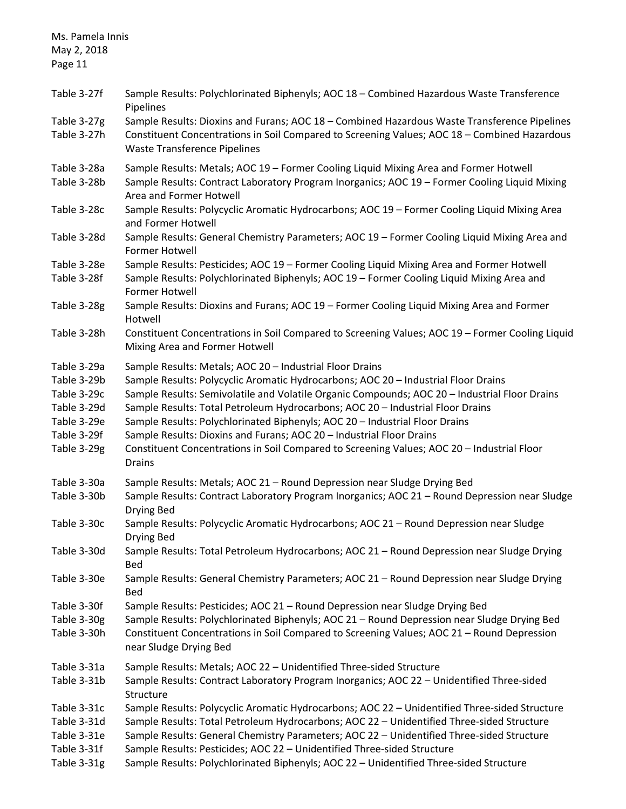| Ms. Pamela Innis<br>May 2, 2018                                                                                                     |                                                                                                                                                                                                                                                                                                                                                                                                                                                                                                                                                                                                                                                                                                                                                                                      |
|-------------------------------------------------------------------------------------------------------------------------------------|--------------------------------------------------------------------------------------------------------------------------------------------------------------------------------------------------------------------------------------------------------------------------------------------------------------------------------------------------------------------------------------------------------------------------------------------------------------------------------------------------------------------------------------------------------------------------------------------------------------------------------------------------------------------------------------------------------------------------------------------------------------------------------------|
| Page 11                                                                                                                             |                                                                                                                                                                                                                                                                                                                                                                                                                                                                                                                                                                                                                                                                                                                                                                                      |
| Table 3-27f                                                                                                                         | Sample Results: Polychlorinated Biphenyls; AOC 18 - Combined Hazardous Waste Transference<br>Pipelines                                                                                                                                                                                                                                                                                                                                                                                                                                                                                                                                                                                                                                                                               |
| Table 3-27g<br>Table 3-27h                                                                                                          | Sample Results: Dioxins and Furans; AOC 18 - Combined Hazardous Waste Transference Pipelines<br>Constituent Concentrations in Soil Compared to Screening Values; AOC 18 - Combined Hazardous<br><b>Waste Transference Pipelines</b>                                                                                                                                                                                                                                                                                                                                                                                                                                                                                                                                                  |
| Table 3-28a<br>Table 3-28b                                                                                                          | Sample Results: Metals; AOC 19 - Former Cooling Liquid Mixing Area and Former Hotwell<br>Sample Results: Contract Laboratory Program Inorganics; AOC 19 - Former Cooling Liquid Mixing<br>Area and Former Hotwell                                                                                                                                                                                                                                                                                                                                                                                                                                                                                                                                                                    |
| Table 3-28c                                                                                                                         | Sample Results: Polycyclic Aromatic Hydrocarbons; AOC 19 - Former Cooling Liquid Mixing Area<br>and Former Hotwell                                                                                                                                                                                                                                                                                                                                                                                                                                                                                                                                                                                                                                                                   |
| Table 3-28d                                                                                                                         | Sample Results: General Chemistry Parameters; AOC 19 - Former Cooling Liquid Mixing Area and<br>Former Hotwell                                                                                                                                                                                                                                                                                                                                                                                                                                                                                                                                                                                                                                                                       |
| Table 3-28e<br>Table 3-28f                                                                                                          | Sample Results: Pesticides; AOC 19 - Former Cooling Liquid Mixing Area and Former Hotwell<br>Sample Results: Polychlorinated Biphenyls; AOC 19 - Former Cooling Liquid Mixing Area and<br>Former Hotwell                                                                                                                                                                                                                                                                                                                                                                                                                                                                                                                                                                             |
| Table 3-28g                                                                                                                         | Sample Results: Dioxins and Furans; AOC 19 - Former Cooling Liquid Mixing Area and Former<br>Hotwell                                                                                                                                                                                                                                                                                                                                                                                                                                                                                                                                                                                                                                                                                 |
| Table 3-28h                                                                                                                         | Constituent Concentrations in Soil Compared to Screening Values; AOC 19 - Former Cooling Liquid<br>Mixing Area and Former Hotwell                                                                                                                                                                                                                                                                                                                                                                                                                                                                                                                                                                                                                                                    |
| Table 3-29a<br>Table 3-29b<br>Table 3-29c<br>Table 3-29d<br>Table 3-29e<br>Table 3-29f<br>Table 3-29g<br>Table 3-30a<br>Table 3-30b | Sample Results: Metals; AOC 20 - Industrial Floor Drains<br>Sample Results: Polycyclic Aromatic Hydrocarbons; AOC 20 - Industrial Floor Drains<br>Sample Results: Semivolatile and Volatile Organic Compounds; AOC 20 - Industrial Floor Drains<br>Sample Results: Total Petroleum Hydrocarbons; AOC 20 - Industrial Floor Drains<br>Sample Results: Polychlorinated Biphenyls; AOC 20 - Industrial Floor Drains<br>Sample Results: Dioxins and Furans; AOC 20 - Industrial Floor Drains<br>Constituent Concentrations in Soil Compared to Screening Values; AOC 20 - Industrial Floor<br><b>Drains</b><br>Sample Results: Metals; AOC 21 - Round Depression near Sludge Drying Bed<br>Sample Results: Contract Laboratory Program Inorganics; AOC 21 - Round Depression near Sludge |
| Table 3-30c                                                                                                                         | Drying Bed<br>Sample Results: Polycyclic Aromatic Hydrocarbons; AOC 21 - Round Depression near Sludge<br>Drying Bed                                                                                                                                                                                                                                                                                                                                                                                                                                                                                                                                                                                                                                                                  |
| Table 3-30d                                                                                                                         | Sample Results: Total Petroleum Hydrocarbons; AOC 21 - Round Depression near Sludge Drying<br>Bed                                                                                                                                                                                                                                                                                                                                                                                                                                                                                                                                                                                                                                                                                    |
| Table 3-30e                                                                                                                         | Sample Results: General Chemistry Parameters; AOC 21 - Round Depression near Sludge Drying<br><b>Bed</b>                                                                                                                                                                                                                                                                                                                                                                                                                                                                                                                                                                                                                                                                             |
| Table 3-30f                                                                                                                         | Sample Results: Pesticides; AOC 21 - Round Depression near Sludge Drying Bed                                                                                                                                                                                                                                                                                                                                                                                                                                                                                                                                                                                                                                                                                                         |
| Table 3-30g                                                                                                                         | Sample Results: Polychlorinated Biphenyls; AOC 21 - Round Depression near Sludge Drying Bed                                                                                                                                                                                                                                                                                                                                                                                                                                                                                                                                                                                                                                                                                          |
| Table 3-30h                                                                                                                         | Constituent Concentrations in Soil Compared to Screening Values; AOC 21 - Round Depression<br>near Sludge Drying Bed                                                                                                                                                                                                                                                                                                                                                                                                                                                                                                                                                                                                                                                                 |
| Table 3-31a                                                                                                                         | Sample Results: Metals; AOC 22 - Unidentified Three-sided Structure                                                                                                                                                                                                                                                                                                                                                                                                                                                                                                                                                                                                                                                                                                                  |
| Table 3-31b                                                                                                                         | Sample Results: Contract Laboratory Program Inorganics; AOC 22 - Unidentified Three-sided<br>Structure                                                                                                                                                                                                                                                                                                                                                                                                                                                                                                                                                                                                                                                                               |
| Table 3-31c                                                                                                                         | Sample Results: Polycyclic Aromatic Hydrocarbons; AOC 22 - Unidentified Three-sided Structure                                                                                                                                                                                                                                                                                                                                                                                                                                                                                                                                                                                                                                                                                        |
| Table 3-31d                                                                                                                         | Sample Results: Total Petroleum Hydrocarbons; AOC 22 - Unidentified Three-sided Structure                                                                                                                                                                                                                                                                                                                                                                                                                                                                                                                                                                                                                                                                                            |
| Table 3-31e                                                                                                                         | Sample Results: General Chemistry Parameters; AOC 22 - Unidentified Three-sided Structure                                                                                                                                                                                                                                                                                                                                                                                                                                                                                                                                                                                                                                                                                            |
| Table 3-31f                                                                                                                         | Sample Results: Pesticides; AOC 22 - Unidentified Three-sided Structure                                                                                                                                                                                                                                                                                                                                                                                                                                                                                                                                                                                                                                                                                                              |
| Table 3-31g                                                                                                                         | Sample Results: Polychlorinated Biphenyls; AOC 22 - Unidentified Three-sided Structure                                                                                                                                                                                                                                                                                                                                                                                                                                                                                                                                                                                                                                                                                               |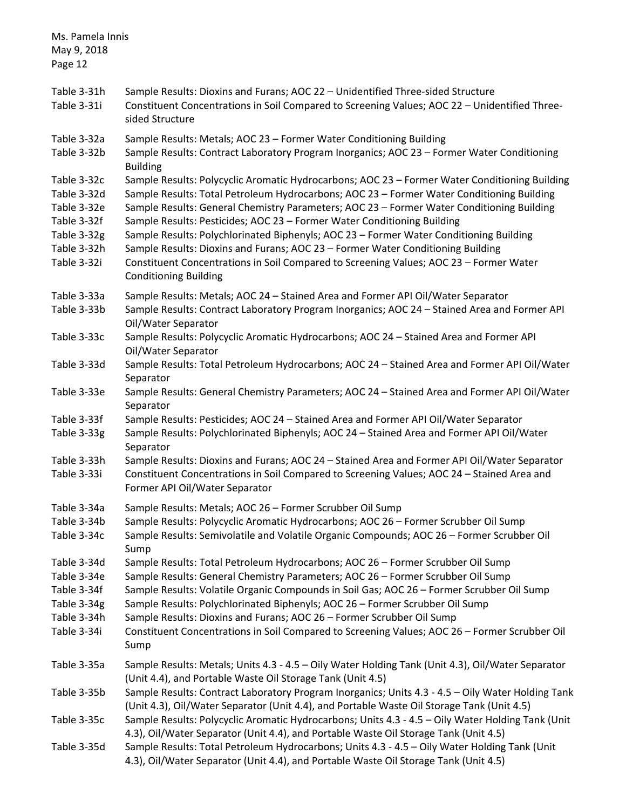| Ms. Pamela Innis<br>May 9, 2018<br>Page 12                                                            |                                                                                                                                                                                                                                                                                                                                                                                                                                                                                                                                                                                                                                                                           |
|-------------------------------------------------------------------------------------------------------|---------------------------------------------------------------------------------------------------------------------------------------------------------------------------------------------------------------------------------------------------------------------------------------------------------------------------------------------------------------------------------------------------------------------------------------------------------------------------------------------------------------------------------------------------------------------------------------------------------------------------------------------------------------------------|
| Table 3-31h<br>Table 3-31i                                                                            | Sample Results: Dioxins and Furans; AOC 22 - Unidentified Three-sided Structure<br>Constituent Concentrations in Soil Compared to Screening Values; AOC 22 - Unidentified Three-<br>sided Structure                                                                                                                                                                                                                                                                                                                                                                                                                                                                       |
| Table 3-32a<br>Table 3-32b                                                                            | Sample Results: Metals; AOC 23 - Former Water Conditioning Building<br>Sample Results: Contract Laboratory Program Inorganics; AOC 23 - Former Water Conditioning<br><b>Building</b>                                                                                                                                                                                                                                                                                                                                                                                                                                                                                      |
| Table 3-32c<br>Table 3-32d<br>Table 3-32e<br>Table 3-32f<br>Table 3-32g<br>Table 3-32h<br>Table 3-32i | Sample Results: Polycyclic Aromatic Hydrocarbons; AOC 23 - Former Water Conditioning Building<br>Sample Results: Total Petroleum Hydrocarbons; AOC 23 - Former Water Conditioning Building<br>Sample Results: General Chemistry Parameters; AOC 23 - Former Water Conditioning Building<br>Sample Results: Pesticides; AOC 23 - Former Water Conditioning Building<br>Sample Results: Polychlorinated Biphenyls; AOC 23 - Former Water Conditioning Building<br>Sample Results: Dioxins and Furans; AOC 23 - Former Water Conditioning Building<br>Constituent Concentrations in Soil Compared to Screening Values; AOC 23 - Former Water<br><b>Conditioning Building</b> |
| Table 3-33a<br>Table 3-33b                                                                            | Sample Results: Metals; AOC 24 - Stained Area and Former API Oil/Water Separator<br>Sample Results: Contract Laboratory Program Inorganics; AOC 24 - Stained Area and Former API<br>Oil/Water Separator                                                                                                                                                                                                                                                                                                                                                                                                                                                                   |
| Table 3-33c                                                                                           | Sample Results: Polycyclic Aromatic Hydrocarbons; AOC 24 - Stained Area and Former API<br>Oil/Water Separator                                                                                                                                                                                                                                                                                                                                                                                                                                                                                                                                                             |
| Table 3-33d                                                                                           | Sample Results: Total Petroleum Hydrocarbons; AOC 24 - Stained Area and Former API Oil/Water<br>Separator                                                                                                                                                                                                                                                                                                                                                                                                                                                                                                                                                                 |
| Table 3-33e                                                                                           | Sample Results: General Chemistry Parameters; AOC 24 - Stained Area and Former API Oil/Water<br>Separator                                                                                                                                                                                                                                                                                                                                                                                                                                                                                                                                                                 |
| Table 3-33f<br>Table 3-33g                                                                            | Sample Results: Pesticides; AOC 24 - Stained Area and Former API Oil/Water Separator<br>Sample Results: Polychlorinated Biphenyls; AOC 24 - Stained Area and Former API Oil/Water<br>Separator                                                                                                                                                                                                                                                                                                                                                                                                                                                                            |
| Table 3-33h<br>Table 3-33i                                                                            | Sample Results: Dioxins and Furans; AOC 24 - Stained Area and Former API Oil/Water Separator<br>Constituent Concentrations in Soil Compared to Screening Values; AOC 24 - Stained Area and<br>Former API Oil/Water Separator                                                                                                                                                                                                                                                                                                                                                                                                                                              |
| Table 3-34a                                                                                           | Sample Results: Metals; AOC 26 - Former Scrubber Oil Sump                                                                                                                                                                                                                                                                                                                                                                                                                                                                                                                                                                                                                 |
| Table 3-34b<br>Table 3-34c                                                                            | Sample Results: Polycyclic Aromatic Hydrocarbons; AOC 26 - Former Scrubber Oil Sump<br>Sample Results: Semivolatile and Volatile Organic Compounds; AOC 26 - Former Scrubber Oil<br>Sump                                                                                                                                                                                                                                                                                                                                                                                                                                                                                  |
| Table 3-34d<br>Table 3-34e<br>Table 3-34f<br>Table 3-34g<br>Table 3-34h<br>Table 3-34i                | Sample Results: Total Petroleum Hydrocarbons; AOC 26 - Former Scrubber Oil Sump<br>Sample Results: General Chemistry Parameters; AOC 26 - Former Scrubber Oil Sump<br>Sample Results: Volatile Organic Compounds in Soil Gas; AOC 26 - Former Scrubber Oil Sump<br>Sample Results: Polychlorinated Biphenyls; AOC 26 - Former Scrubber Oil Sump<br>Sample Results: Dioxins and Furans; AOC 26 - Former Scrubber Oil Sump<br>Constituent Concentrations in Soil Compared to Screening Values; AOC 26 - Former Scrubber Oil<br>Sump                                                                                                                                         |
| Table 3-35a                                                                                           | Sample Results: Metals; Units 4.3 - 4.5 - Oily Water Holding Tank (Unit 4.3), Oil/Water Separator<br>(Unit 4.4), and Portable Waste Oil Storage Tank (Unit 4.5)                                                                                                                                                                                                                                                                                                                                                                                                                                                                                                           |
| Table 3-35b                                                                                           | Sample Results: Contract Laboratory Program Inorganics; Units 4.3 - 4.5 - Oily Water Holding Tank<br>(Unit 4.3), Oil/Water Separator (Unit 4.4), and Portable Waste Oil Storage Tank (Unit 4.5)                                                                                                                                                                                                                                                                                                                                                                                                                                                                           |
| Table 3-35c                                                                                           | Sample Results: Polycyclic Aromatic Hydrocarbons; Units 4.3 - 4.5 - Oily Water Holding Tank (Unit<br>4.3), Oil/Water Separator (Unit 4.4), and Portable Waste Oil Storage Tank (Unit 4.5)                                                                                                                                                                                                                                                                                                                                                                                                                                                                                 |
| Table 3-35d                                                                                           | Sample Results: Total Petroleum Hydrocarbons; Units 4.3 - 4.5 - Oily Water Holding Tank (Unit<br>4.3), Oil/Water Separator (Unit 4.4), and Portable Waste Oil Storage Tank (Unit 4.5)                                                                                                                                                                                                                                                                                                                                                                                                                                                                                     |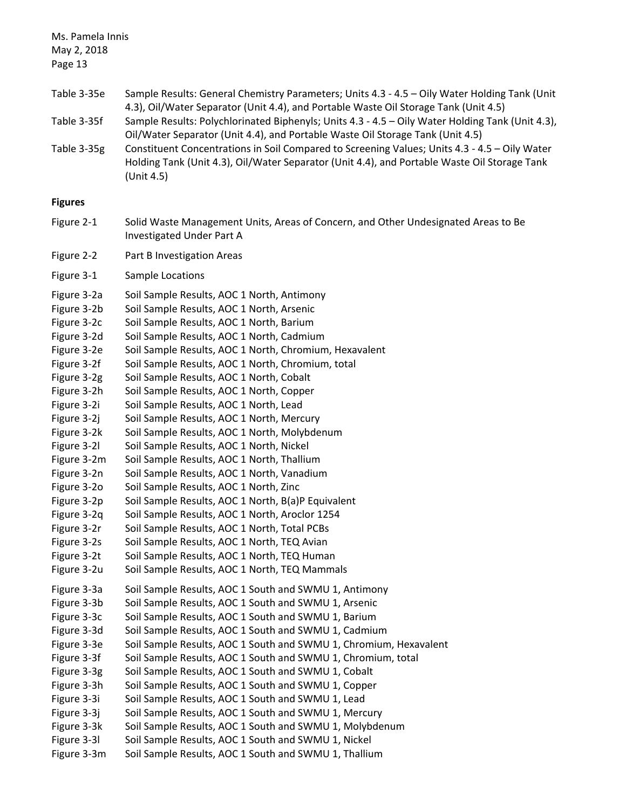Ms. Pamela Innis May 2, 2018 Page 13 Table 3-35e Sample Results: General Chemistry Parameters; Units 4.3 - 4.5 – Oily Water Holding Tank (Unit 4.3), Oil/Water Separator (Unit 4.4), and Portable Waste Oil Storage Tank (Unit 4.5) Table 3-35f Sample Results: Polychlorinated Biphenyls; Units 4.3 - 4.5 – Oily Water Holding Tank (Unit 4.3), Oil/Water Separator (Unit 4.4), and Portable Waste Oil Storage Tank (Unit 4.5) Table 3-35g Constituent Concentrations in Soil Compared to Screening Values; Units 4.3 - 4.5 – Oily Water Holding Tank (Unit 4.3), Oil/Water Separator (Unit 4.4), and Portable Waste Oil Storage Tank (Unit 4.5) **Figures**  Figure 2-1 Solid Waste Management Units, Areas of Concern, and Other Undesignated Areas to Be Investigated Under Part A Figure 2-2 Part B Investigation Areas Figure 3-1 Sample Locations Figure 3-2a Soil Sample Results, AOC 1 North, Antimony Figure 3-2b Soil Sample Results, AOC 1 North, Arsenic Figure 3-2c Soil Sample Results, AOC 1 North, Barium Figure 3-2d Soil Sample Results, AOC 1 North, Cadmium Figure 3-2e Soil Sample Results, AOC 1 North, Chromium, Hexavalent Figure 3-2f Soil Sample Results, AOC 1 North, Chromium, total Figure 3-2g Soil Sample Results, AOC 1 North, Cobalt Figure 3-2h Soil Sample Results, AOC 1 North, Copper Figure 3-2i Soil Sample Results, AOC 1 North, Lead Figure 3-2j Soil Sample Results, AOC 1 North, Mercury Figure 3-2k Soil Sample Results, AOC 1 North, Molybdenum Figure 3-2l Soil Sample Results, AOC 1 North, Nickel Figure 3-2m Soil Sample Results, AOC 1 North, Thallium Figure 3-2n Soil Sample Results, AOC 1 North, Vanadium Figure 3-2o Soil Sample Results, AOC 1 North, Zinc Figure 3-2p Soil Sample Results, AOC 1 North, B(a)P Equivalent Figure 3-2q Soil Sample Results, AOC 1 North, Aroclor 1254 Figure 3-2r Soil Sample Results, AOC 1 North, Total PCBs Figure 3-2s Soil Sample Results, AOC 1 North, TEQ Avian Figure 3-2t Soil Sample Results, AOC 1 North, TEQ Human Figure 3-2u Soil Sample Results, AOC 1 North, TEQ Mammals Figure 3-3a Soil Sample Results, AOC 1 South and SWMU 1, Antimony Figure 3-3b Soil Sample Results, AOC 1 South and SWMU 1, Arsenic Figure 3-3c Soil Sample Results, AOC 1 South and SWMU 1, Barium Figure 3-3d Soil Sample Results, AOC 1 South and SWMU 1, Cadmium Figure 3-3e Soil Sample Results, AOC 1 South and SWMU 1, Chromium, Hexavalent Figure 3-3f Soil Sample Results, AOC 1 South and SWMU 1, Chromium, total Figure 3-3g Soil Sample Results, AOC 1 South and SWMU 1, Cobalt

- Figure 3-3h Soil Sample Results, AOC 1 South and SWMU 1, Copper
- Figure 3-3i Soil Sample Results, AOC 1 South and SWMU 1, Lead
- Figure 3-3j Soil Sample Results, AOC 1 South and SWMU 1, Mercury
- Figure 3-3k Soil Sample Results, AOC 1 South and SWMU 1, Molybdenum
- Figure 3-3l Soil Sample Results, AOC 1 South and SWMU 1, Nickel
- Figure 3-3m Soil Sample Results, AOC 1 South and SWMU 1, Thallium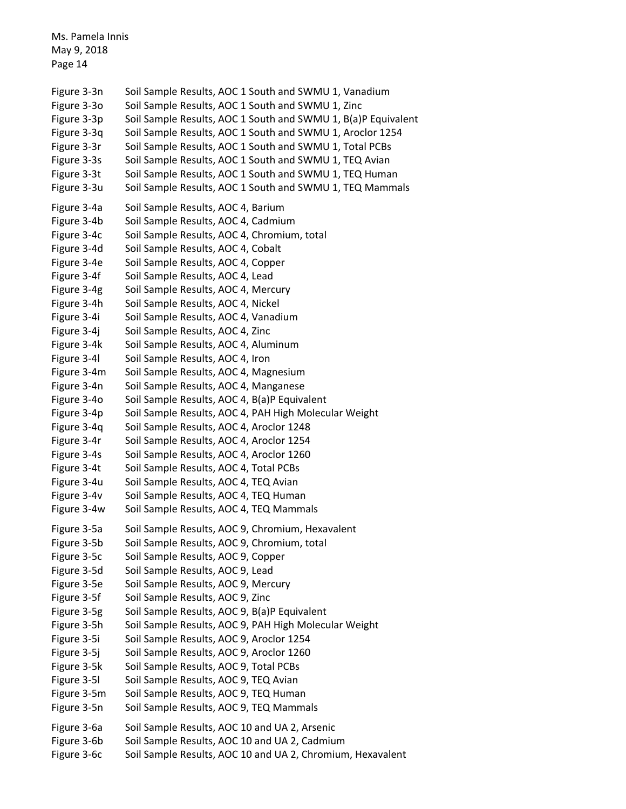Ms. Pamela Innis May 9, 2018 Page 14 Figure 3-3n Soil Sample Results, AOC 1 South and SWMU 1, Vanadium Figure 3-30 Soil Sample Results, AOC 1 South and SWMU 1, Zinc Figure 3-3p Soil Sample Results, AOC 1 South and SWMU 1, B(a)P Equivalent Figure 3-3q Soil Sample Results, AOC 1 South and SWMU 1, Aroclor 1254 Figure 3-3r Soil Sample Results, AOC 1 South and SWMU 1, Total PCBs Figure 3-3s Soil Sample Results, AOC 1 South and SWMU 1, TEQ Avian Figure 3-3t Soil Sample Results, AOC 1 South and SWMU 1, TEQ Human Figure 3-3u Soil Sample Results, AOC 1 South and SWMU 1, TEQ Mammals Figure 3-4a Soil Sample Results, AOC 4, Barium Figure 3-4b Soil Sample Results, AOC 4, Cadmium Figure 3-4c Soil Sample Results, AOC 4, Chromium, total Figure 3-4d Soil Sample Results, AOC 4, Cobalt Figure 3-4e Soil Sample Results, AOC 4, Copper Figure 3-4f Soil Sample Results, AOC 4, Lead Figure 3-4g Soil Sample Results, AOC 4, Mercury Figure 3-4h Soil Sample Results, AOC 4, Nickel Figure 3-4i Soil Sample Results, AOC 4, Vanadium Figure 3-4j Soil Sample Results, AOC 4, Zinc Figure 3-4k Soil Sample Results, AOC 4, Aluminum Figure 3-4l Soil Sample Results, AOC 4, Iron Figure 3-4m Soil Sample Results, AOC 4, Magnesium Figure 3-4n Soil Sample Results, AOC 4, Manganese Figure 3-4o Soil Sample Results, AOC 4, B(a)P Equivalent Figure 3-4p Soil Sample Results, AOC 4, PAH High Molecular Weight Figure 3-4q Soil Sample Results, AOC 4, Aroclor 1248 Figure 3-4r Soil Sample Results, AOC 4, Aroclor 1254 Figure 3-4s Soil Sample Results, AOC 4, Aroclor 1260 Figure 3-4t Soil Sample Results, AOC 4, Total PCBs Figure 3-4u Soil Sample Results, AOC 4, TEQ Avian Figure 3-4v Soil Sample Results, AOC 4, TEQ Human Figure 3-4w Soil Sample Results, AOC 4, TEQ Mammals Figure 3-5a Soil Sample Results, AOC 9, Chromium, Hexavalent Figure 3-5b Soil Sample Results, AOC 9, Chromium, total Figure 3-5c Soil Sample Results, AOC 9, Copper Figure 3-5d Soil Sample Results, AOC 9, Lead Figure 3-5e Soil Sample Results, AOC 9, Mercury Figure 3-5f Soil Sample Results, AOC 9, Zinc Figure 3-5g Soil Sample Results, AOC 9, B(a)P Equivalent Figure 3-5h Soil Sample Results, AOC 9, PAH High Molecular Weight Figure 3-5i Soil Sample Results, AOC 9, Aroclor 1254 Figure 3-5j Soil Sample Results, AOC 9, Aroclor 1260 Figure 3-5k Soil Sample Results, AOC 9, Total PCBs Figure 3-5l Soil Sample Results, AOC 9, TEQ Avian Figure 3-5m Soil Sample Results, AOC 9, TEQ Human Figure 3-5n Soil Sample Results, AOC 9, TEQ Mammals Figure 3-6a Soil Sample Results, AOC 10 and UA 2, Arsenic Figure 3-6b Soil Sample Results, AOC 10 and UA 2, Cadmium Figure 3-6c Soil Sample Results, AOC 10 and UA 2, Chromium, Hexavalent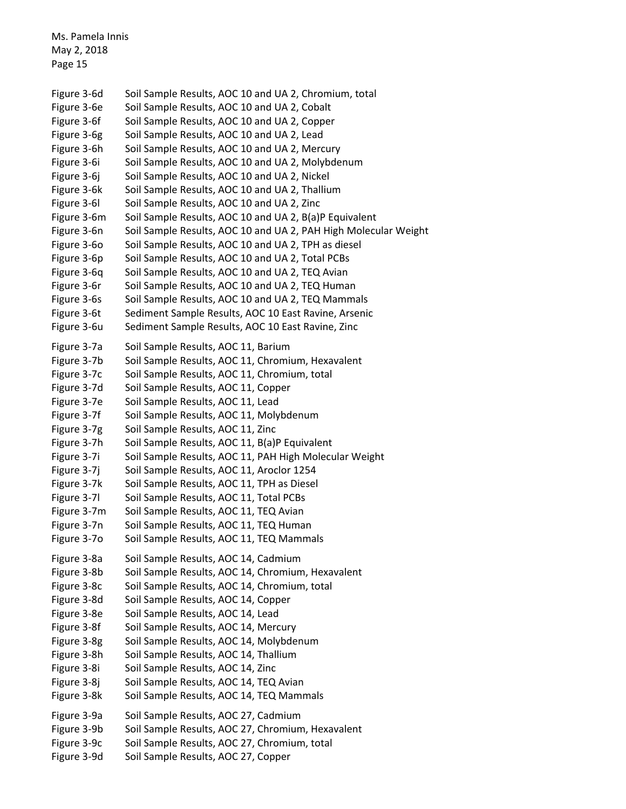Ms. Pamela Innis May 2, 2018 Page 15 Figure 3-6d Soil Sample Results, AOC 10 and UA 2, Chromium, total Figure 3-6e Soil Sample Results, AOC 10 and UA 2, Cobalt Figure 3-6f Soil Sample Results, AOC 10 and UA 2, Copper Figure 3-6g Soil Sample Results, AOC 10 and UA 2, Lead Figure 3-6h Soil Sample Results, AOC 10 and UA 2, Mercury Figure 3-6i Soil Sample Results, AOC 10 and UA 2, Molybdenum Figure 3-6j Soil Sample Results, AOC 10 and UA 2, Nickel Figure 3-6k Soil Sample Results, AOC 10 and UA 2, Thallium Figure 3-6l Soil Sample Results, AOC 10 and UA 2, Zinc Figure 3-6m Soil Sample Results, AOC 10 and UA 2, B(a)P Equivalent Figure 3-6n Soil Sample Results, AOC 10 and UA 2, PAH High Molecular Weight Figure 3-6o Soil Sample Results, AOC 10 and UA 2, TPH as diesel Figure 3-6p Soil Sample Results, AOC 10 and UA 2, Total PCBs Figure 3-6q Soil Sample Results, AOC 10 and UA 2, TEQ Avian Figure 3-6r Soil Sample Results, AOC 10 and UA 2, TEQ Human Figure 3-6s Soil Sample Results, AOC 10 and UA 2, TEQ Mammals Figure 3-6t Sediment Sample Results, AOC 10 East Ravine, Arsenic Figure 3-6u Sediment Sample Results, AOC 10 East Ravine, Zinc Figure 3-7a Soil Sample Results, AOC 11, Barium Figure 3-7b Soil Sample Results, AOC 11, Chromium, Hexavalent Figure 3-7c Soil Sample Results, AOC 11, Chromium, total Figure 3-7d Soil Sample Results, AOC 11, Copper Figure 3-7e Soil Sample Results, AOC 11, Lead Figure 3-7f Soil Sample Results, AOC 11, Molybdenum Figure 3-7g Soil Sample Results, AOC 11, Zinc Figure 3-7h Soil Sample Results, AOC 11, B(a)P Equivalent Figure 3-7i Soil Sample Results, AOC 11, PAH High Molecular Weight Figure 3-7j Soil Sample Results, AOC 11, Aroclor 1254 Figure 3-7k Soil Sample Results, AOC 11, TPH as Diesel Figure 3-7l Soil Sample Results, AOC 11, Total PCBs Figure 3-7m Soil Sample Results, AOC 11, TEQ Avian Figure 3-7n Soil Sample Results, AOC 11, TEQ Human Figure 3-7o Soil Sample Results, AOC 11, TEQ Mammals Figure 3-8a Soil Sample Results, AOC 14, Cadmium Figure 3-8b Soil Sample Results, AOC 14, Chromium, Hexavalent Figure 3-8c Soil Sample Results, AOC 14, Chromium, total Figure 3-8d Soil Sample Results, AOC 14, Copper Figure 3-8e Soil Sample Results, AOC 14, Lead Figure 3-8f Soil Sample Results, AOC 14, Mercury Figure 3-8g Soil Sample Results, AOC 14, Molybdenum Figure 3-8h Soil Sample Results, AOC 14, Thallium Figure 3-8i Soil Sample Results, AOC 14, Zinc Figure 3-8j Soil Sample Results, AOC 14, TEQ Avian Figure 3-8k Soil Sample Results, AOC 14, TEQ Mammals Figure 3-9a Soil Sample Results, AOC 27, Cadmium Figure 3-9b Soil Sample Results, AOC 27, Chromium, Hexavalent Figure 3-9c Soil Sample Results, AOC 27, Chromium, total Figure 3-9d Soil Sample Results, AOC 27, Copper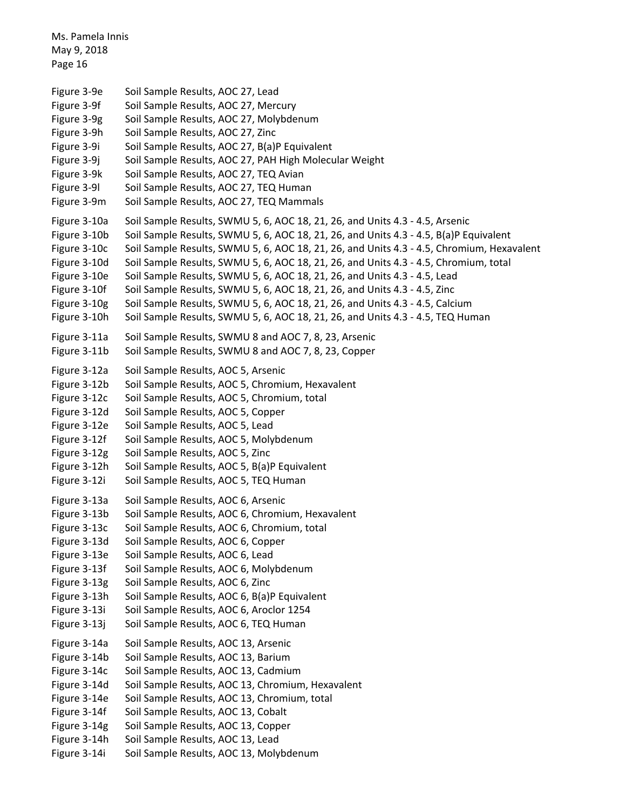```
Ms. Pamela Innis
May 9, 2018
Page 16
Figure 3-9e Soil Sample Results, AOC 27, Lead
Figure 3-9f Soil Sample Results, AOC 27, Mercury
Figure 3-9g Soil Sample Results, AOC 27, Molybdenum
Figure 3-9h Soil Sample Results, AOC 27, Zinc
Figure 3-9i Soil Sample Results, AOC 27, B(a)P Equivalent
Figure 3-9j Soil Sample Results, AOC 27, PAH High Molecular Weight
Figure 3-9k Soil Sample Results, AOC 27, TEQ Avian
Figure 3-9l Soil Sample Results, AOC 27, TEQ Human
Figure 3-9m Soil Sample Results, AOC 27, TEQ Mammals
Figure 3-10a Soil Sample Results, SWMU 5, 6, AOC 18, 21, 26, and Units 4.3 - 4.5, Arsenic
Figure 3-10b Soil Sample Results, SWMU 5, 6, AOC 18, 21, 26, and Units 4.3 - 4.5, B(a)P Equivalent
Figure 3-10c Soil Sample Results, SWMU 5, 6, AOC 18, 21, 26, and Units 4.3 - 4.5, Chromium, Hexavalent
Figure 3-10d Soil Sample Results, SWMU 5, 6, AOC 18, 21, 26, and Units 4.3 - 4.5, Chromium, total
Figure 3-10e Soil Sample Results, SWMU 5, 6, AOC 18, 21, 26, and Units 4.3 - 4.5, Lead
Figure 3-10f Soil Sample Results, SWMU 5, 6, AOC 18, 21, 26, and Units 4.3 - 4.5, Zinc
Figure 3-10g Soil Sample Results, SWMU 5, 6, AOC 18, 21, 26, and Units 4.3 - 4.5, Calcium
Figure 3-10h Soil Sample Results, SWMU 5, 6, AOC 18, 21, 26, and Units 4.3 - 4.5, TEQ Human
Figure 3-11a Soil Sample Results, SWMU 8 and AOC 7, 8, 23, Arsenic
Figure 3-11b Soil Sample Results, SWMU 8 and AOC 7, 8, 23, Copper
Figure 3-12a Soil Sample Results, AOC 5, Arsenic
Figure 3-12b Soil Sample Results, AOC 5, Chromium, Hexavalent
Figure 3-12c Soil Sample Results, AOC 5, Chromium, total
Figure 3-12d Soil Sample Results, AOC 5, Copper
Figure 3-12e Soil Sample Results, AOC 5, Lead
Figure 3-12f Soil Sample Results, AOC 5, Molybdenum
Figure 3-12g Soil Sample Results, AOC 5, Zinc
Figure 3-12h Soil Sample Results, AOC 5, B(a)P Equivalent
Figure 3-12i Soil Sample Results, AOC 5, TEQ Human
Figure 3-13a Soil Sample Results, AOC 6, Arsenic
Figure 3-13b Soil Sample Results, AOC 6, Chromium, Hexavalent
Figure 3-13c Soil Sample Results, AOC 6, Chromium, total
Figure 3-13d Soil Sample Results, AOC 6, Copper
Figure 3-13e Soil Sample Results, AOC 6, Lead
Figure 3-13f Soil Sample Results, AOC 6, Molybdenum
Figure 3-13g Soil Sample Results, AOC 6, Zinc
Figure 3-13h Soil Sample Results, AOC 6, B(a)P Equivalent
Figure 3-13i Soil Sample Results, AOC 6, Aroclor 1254
Figure 3-13j Soil Sample Results, AOC 6, TEQ Human
Figure 3-14a Soil Sample Results, AOC 13, Arsenic
Figure 3-14b Soil Sample Results, AOC 13, Barium
Figure 3-14c Soil Sample Results, AOC 13, Cadmium
Figure 3-14d Soil Sample Results, AOC 13, Chromium, Hexavalent
Figure 3-14e Soil Sample Results, AOC 13, Chromium, total
Figure 3-14f Soil Sample Results, AOC 13, Cobalt
Figure 3-14g Soil Sample Results, AOC 13, Copper
Figure 3-14h Soil Sample Results, AOC 13, Lead
Figure 3-14i Soil Sample Results, AOC 13, Molybdenum
```